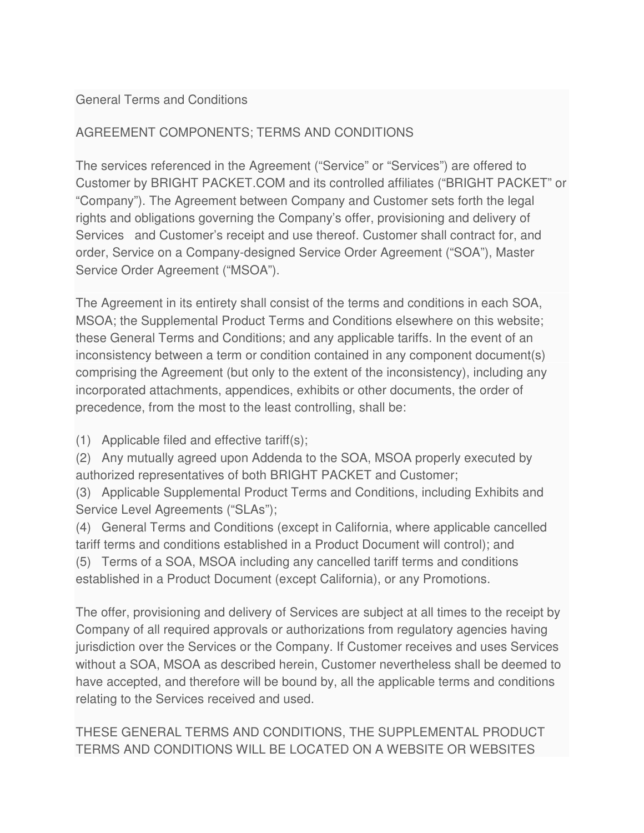#### General Terms and Conditions

### AGREEMENT COMPONENTS; TERMS AND CONDITIONS

The services referenced in the Agreement ("Service" or "Services") are offered to Customer by BRIGHT PACKET.COM and its controlled affiliates ("BRIGHT PACKET" or "Company"). The Agreement between Company and Customer sets forth the legal rights and obligations governing the Company's offer, provisioning and delivery of Services and Customer's receipt and use thereof. Customer shall contract for, and order, Service on a Company-designed Service Order Agreement ("SOA"), Master Service Order Agreement ("MSOA").

The Agreement in its entirety shall consist of the terms and conditions in each SOA, MSOA; the Supplemental Product Terms and Conditions elsewhere on this website; these General Terms and Conditions; and any applicable tariffs. In the event of an inconsistency between a term or condition contained in any component document(s) comprising the Agreement (but only to the extent of the inconsistency), including any incorporated attachments, appendices, exhibits or other documents, the order of precedence, from the most to the least controlling, shall be:

(1) Applicable filed and effective tariff(s);

(2) Any mutually agreed upon Addenda to the SOA, MSOA properly executed by authorized representatives of both BRIGHT PACKET and Customer;

(3) Applicable Supplemental Product Terms and Conditions, including Exhibits and Service Level Agreements ("SLAs");

(4) General Terms and Conditions (except in California, where applicable cancelled tariff terms and conditions established in a Product Document will control); and

(5) Terms of a SOA, MSOA including any cancelled tariff terms and conditions established in a Product Document (except California), or any Promotions.

The offer, provisioning and delivery of Services are subject at all times to the receipt by Company of all required approvals or authorizations from regulatory agencies having jurisdiction over the Services or the Company. If Customer receives and uses Services without a SOA, MSOA as described herein, Customer nevertheless shall be deemed to have accepted, and therefore will be bound by, all the applicable terms and conditions relating to the Services received and used.

THESE GENERAL TERMS AND CONDITIONS, THE SUPPLEMENTAL PRODUCT TERMS AND CONDITIONS WILL BE LOCATED ON A WEBSITE OR WEBSITES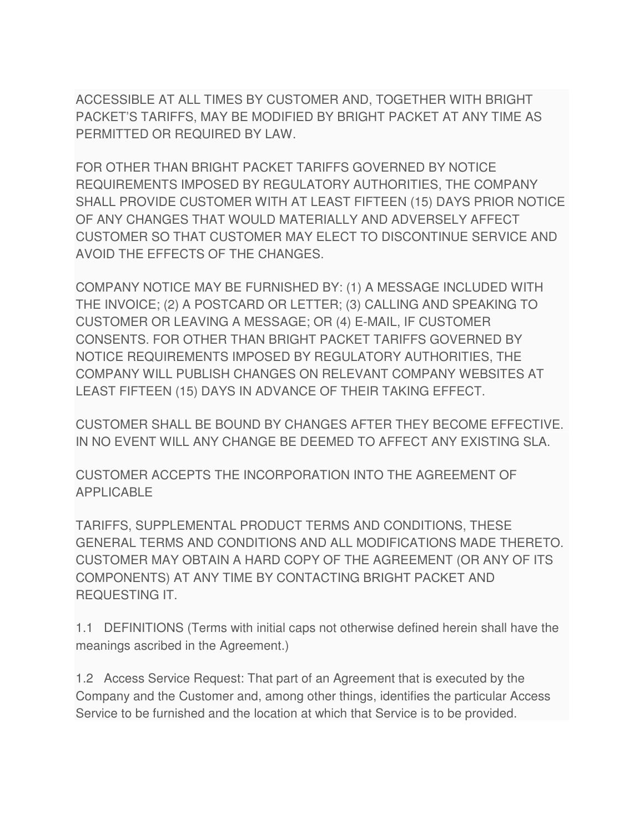ACCESSIBLE AT ALL TIMES BY CUSTOMER AND, TOGETHER WITH BRIGHT PACKET'S TARIFFS, MAY BE MODIFIED BY BRIGHT PACKET AT ANY TIME AS PERMITTED OR REQUIRED BY LAW.

FOR OTHER THAN BRIGHT PACKET TARIFFS GOVERNED BY NOTICE REQUIREMENTS IMPOSED BY REGULATORY AUTHORITIES, THE COMPANY SHALL PROVIDE CUSTOMER WITH AT LEAST FIFTEEN (15) DAYS PRIOR NOTICE OF ANY CHANGES THAT WOULD MATERIALLY AND ADVERSELY AFFECT CUSTOMER SO THAT CUSTOMER MAY ELECT TO DISCONTINUE SERVICE AND AVOID THE EFFECTS OF THE CHANGES.

COMPANY NOTICE MAY BE FURNISHED BY: (1) A MESSAGE INCLUDED WITH THE INVOICE; (2) A POSTCARD OR LETTER; (3) CALLING AND SPEAKING TO CUSTOMER OR LEAVING A MESSAGE; OR (4) E-MAIL, IF CUSTOMER CONSENTS. FOR OTHER THAN BRIGHT PACKET TARIFFS GOVERNED BY NOTICE REQUIREMENTS IMPOSED BY REGULATORY AUTHORITIES, THE COMPANY WILL PUBLISH CHANGES ON RELEVANT COMPANY WEBSITES AT LEAST FIFTEEN (15) DAYS IN ADVANCE OF THEIR TAKING EFFECT.

CUSTOMER SHALL BE BOUND BY CHANGES AFTER THEY BECOME EFFECTIVE. IN NO EVENT WILL ANY CHANGE BE DEEMED TO AFFECT ANY EXISTING SLA.

CUSTOMER ACCEPTS THE INCORPORATION INTO THE AGREEMENT OF APPLICABLE

TARIFFS, SUPPLEMENTAL PRODUCT TERMS AND CONDITIONS, THESE GENERAL TERMS AND CONDITIONS AND ALL MODIFICATIONS MADE THERETO. CUSTOMER MAY OBTAIN A HARD COPY OF THE AGREEMENT (OR ANY OF ITS COMPONENTS) AT ANY TIME BY CONTACTING BRIGHT PACKET AND REQUESTING IT.

1.1 DEFINITIONS (Terms with initial caps not otherwise defined herein shall have the meanings ascribed in the Agreement.)

1.2 Access Service Request: That part of an Agreement that is executed by the Company and the Customer and, among other things, identifies the particular Access Service to be furnished and the location at which that Service is to be provided.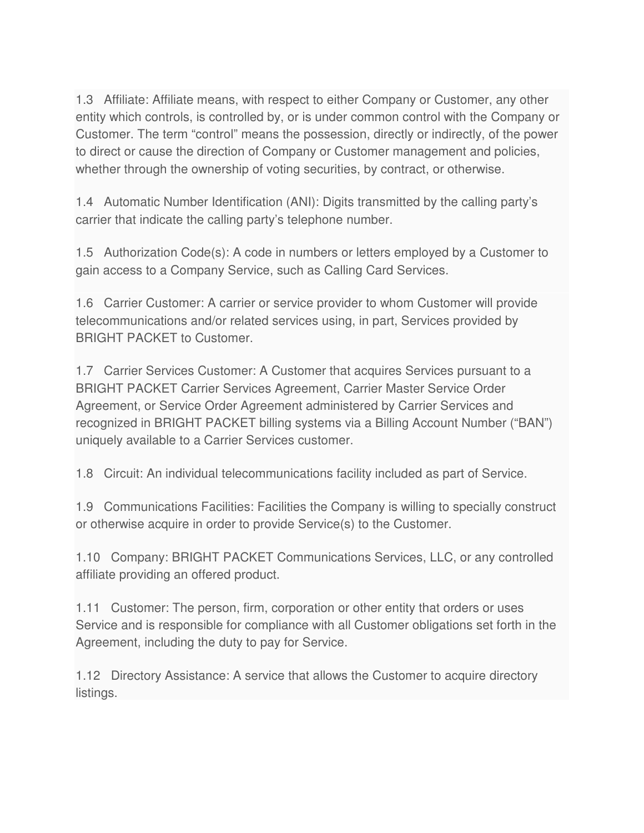1.3 Affiliate: Affiliate means, with respect to either Company or Customer, any other entity which controls, is controlled by, or is under common control with the Company or Customer. The term "control" means the possession, directly or indirectly, of the power to direct or cause the direction of Company or Customer management and policies, whether through the ownership of voting securities, by contract, or otherwise.

1.4 Automatic Number Identification (ANI): Digits transmitted by the calling party's carrier that indicate the calling party's telephone number.

1.5 Authorization Code(s): A code in numbers or letters employed by a Customer to gain access to a Company Service, such as Calling Card Services.

1.6 Carrier Customer: A carrier or service provider to whom Customer will provide telecommunications and/or related services using, in part, Services provided by BRIGHT PACKET to Customer.

1.7 Carrier Services Customer: A Customer that acquires Services pursuant to a BRIGHT PACKET Carrier Services Agreement, Carrier Master Service Order Agreement, or Service Order Agreement administered by Carrier Services and recognized in BRIGHT PACKET billing systems via a Billing Account Number ("BAN") uniquely available to a Carrier Services customer.

1.8 Circuit: An individual telecommunications facility included as part of Service.

1.9 Communications Facilities: Facilities the Company is willing to specially construct or otherwise acquire in order to provide Service(s) to the Customer.

1.10 Company: BRIGHT PACKET Communications Services, LLC, or any controlled affiliate providing an offered product.

1.11 Customer: The person, firm, corporation or other entity that orders or uses Service and is responsible for compliance with all Customer obligations set forth in the Agreement, including the duty to pay for Service.

1.12 Directory Assistance: A service that allows the Customer to acquire directory listings.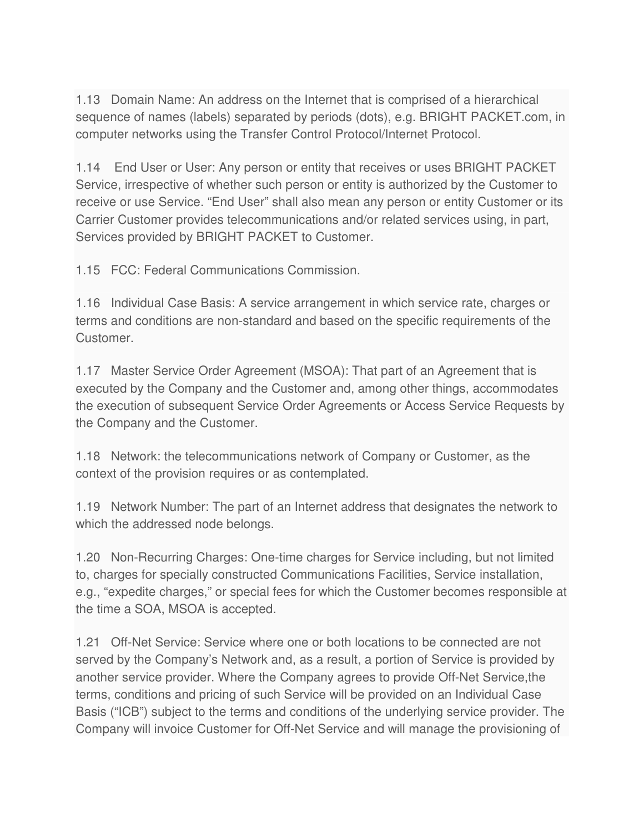1.13 Domain Name: An address on the Internet that is comprised of a hierarchical sequence of names (labels) separated by periods (dots), e.g. BRIGHT PACKET.com, in computer networks using the Transfer Control Protocol/Internet Protocol.

1.14 End User or User: Any person or entity that receives or uses BRIGHT PACKET Service, irrespective of whether such person or entity is authorized by the Customer to receive or use Service. "End User" shall also mean any person or entity Customer or its Carrier Customer provides telecommunications and/or related services using, in part, Services provided by BRIGHT PACKET to Customer.

1.15 FCC: Federal Communications Commission.

1.16 Individual Case Basis: A service arrangement in which service rate, charges or terms and conditions are non-standard and based on the specific requirements of the Customer.

1.17 Master Service Order Agreement (MSOA): That part of an Agreement that is executed by the Company and the Customer and, among other things, accommodates the execution of subsequent Service Order Agreements or Access Service Requests by the Company and the Customer.

1.18 Network: the telecommunications network of Company or Customer, as the context of the provision requires or as contemplated.

1.19 Network Number: The part of an Internet address that designates the network to which the addressed node belongs.

1.20 Non-Recurring Charges: One-time charges for Service including, but not limited to, charges for specially constructed Communications Facilities, Service installation, e.g., "expedite charges," or special fees for which the Customer becomes responsible at the time a SOA, MSOA is accepted.

1.21 Off-Net Service: Service where one or both locations to be connected are not served by the Company's Network and, as a result, a portion of Service is provided by another service provider. Where the Company agrees to provide Off-Net Service,the terms, conditions and pricing of such Service will be provided on an Individual Case Basis ("ICB") subject to the terms and conditions of the underlying service provider. The Company will invoice Customer for Off-Net Service and will manage the provisioning of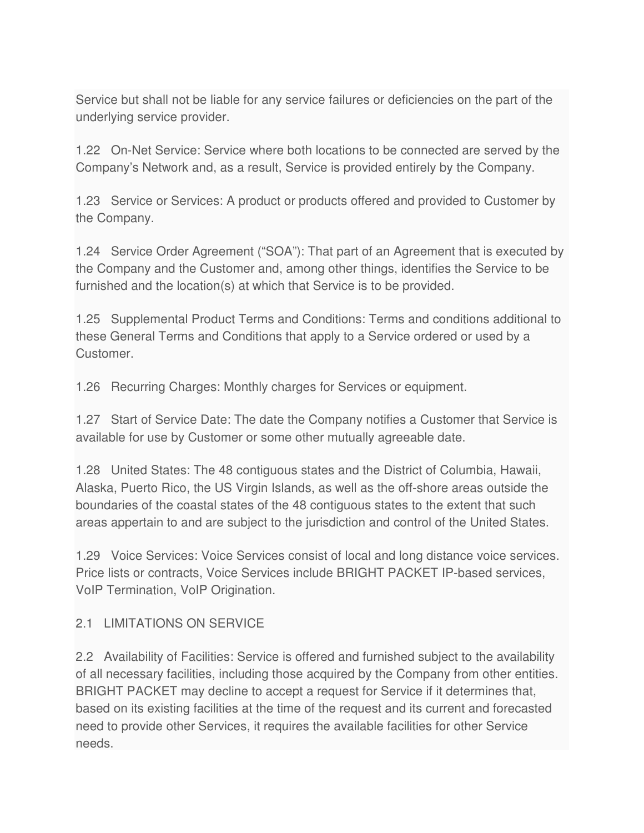Service but shall not be liable for any service failures or deficiencies on the part of the underlying service provider.

1.22 On-Net Service: Service where both locations to be connected are served by the Company's Network and, as a result, Service is provided entirely by the Company.

1.23 Service or Services: A product or products offered and provided to Customer by the Company.

1.24 Service Order Agreement ("SOA"): That part of an Agreement that is executed by the Company and the Customer and, among other things, identifies the Service to be furnished and the location(s) at which that Service is to be provided.

1.25 Supplemental Product Terms and Conditions: Terms and conditions additional to these General Terms and Conditions that apply to a Service ordered or used by a Customer.

1.26 Recurring Charges: Monthly charges for Services or equipment.

1.27 Start of Service Date: The date the Company notifies a Customer that Service is available for use by Customer or some other mutually agreeable date.

1.28 United States: The 48 contiguous states and the District of Columbia, Hawaii, Alaska, Puerto Rico, the US Virgin Islands, as well as the off-shore areas outside the boundaries of the coastal states of the 48 contiguous states to the extent that such areas appertain to and are subject to the jurisdiction and control of the United States.

1.29 Voice Services: Voice Services consist of local and long distance voice services. Price lists or contracts, Voice Services include BRIGHT PACKET IP-based services, VoIP Termination, VoIP Origination.

#### 2.1 LIMITATIONS ON SERVICE

2.2 Availability of Facilities: Service is offered and furnished subject to the availability of all necessary facilities, including those acquired by the Company from other entities. BRIGHT PACKET may decline to accept a request for Service if it determines that, based on its existing facilities at the time of the request and its current and forecasted need to provide other Services, it requires the available facilities for other Service needs.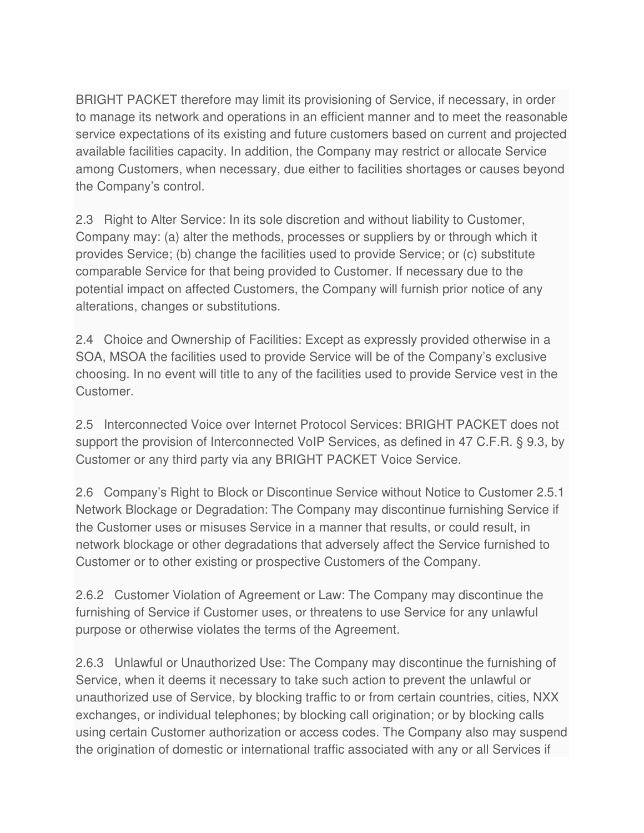BRIGHT PACKET therefore may limit its provisioning of Service, if necessary, in order to manage its network and operations in an efficient manner and to meet the reasonable service expectations of its existing and future customers based on current and projected available facilities capacity. In addition, the Company may restrict or allocate Service among Customers, when necessary, due either to facilities shortages or causes beyond the Company's control.

2.3 Right to Alter Service: In its sole discretion and without liability to Customer, Company may: (a) alter the methods, processes or suppliers by or through which it provides Service; (b) change the facilities used to provide Service; or (c) substitute comparable Service for that being provided to Customer. If necessary due to the potential impact on affected Customers, the Company will furnish prior notice of any alterations, changes or substitutions.

2.4 Choice and Ownership of Facilities: Except as expressly provided otherwise in a SOA, MSOA the facilities used to provide Service will be of the Company's exclusive choosing. In no event will title to any of the facilities used to provide Service vest in the Customer.

2.5 Interconnected Voice over Internet Protocol Services: BRIGHT PACKET does not support the provision of Interconnected VoIP Services, as defined in 47 C.F.R. § 9.3, by Customer or any third party via any BRIGHT PACKET Voice Service.

2.6 Company's Right to Block or Discontinue Service without Notice to Customer 2.5.1 Network Blockage or Degradation: The Company may discontinue furnishing Service if the Customer uses or misuses Service in a manner that results, or could result, in network blockage or other degradations that adversely affect the Service furnished to Customer or to other existing or prospective Customers of the Company.

2.6.2 Customer Violation of Agreement or Law: The Company may discontinue the furnishing of Service if Customer uses, or threatens to use Service for any unlawful purpose or otherwise violates the terms of the Agreement.

2.6.3 Unlawful or Unauthorized Use: The Company may discontinue the furnishing of Service, when it deems it necessary to take such action to prevent the unlawful or unauthorized use of Service, by blocking traffic to or from certain countries, cities, NXX exchanges, or individual telephones; by blocking call origination; or by blocking calls using certain Customer authorization or access codes. The Company also may suspend the origination of domestic or international traffic associated with any or all Services if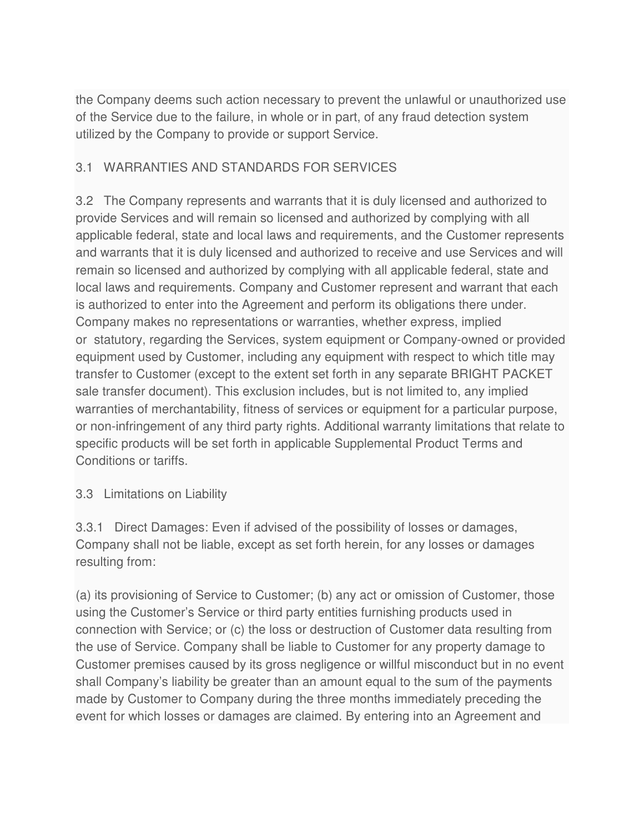the Company deems such action necessary to prevent the unlawful or unauthorized use of the Service due to the failure, in whole or in part, of any fraud detection system utilized by the Company to provide or support Service.

### 3.1 WARRANTIES AND STANDARDS FOR SERVICES

3.2 The Company represents and warrants that it is duly licensed and authorized to provide Services and will remain so licensed and authorized by complying with all applicable federal, state and local laws and requirements, and the Customer represents and warrants that it is duly licensed and authorized to receive and use Services and will remain so licensed and authorized by complying with all applicable federal, state and local laws and requirements. Company and Customer represent and warrant that each is authorized to enter into the Agreement and perform its obligations there under. Company makes no representations or warranties, whether express, implied or statutory, regarding the Services, system equipment or Company-owned or provided equipment used by Customer, including any equipment with respect to which title may transfer to Customer (except to the extent set forth in any separate BRIGHT PACKET sale transfer document). This exclusion includes, but is not limited to, any implied warranties of merchantability, fitness of services or equipment for a particular purpose, or non-infringement of any third party rights. Additional warranty limitations that relate to specific products will be set forth in applicable Supplemental Product Terms and Conditions or tariffs.

### 3.3 Limitations on Liability

3.3.1 Direct Damages: Even if advised of the possibility of losses or damages, Company shall not be liable, except as set forth herein, for any losses or damages resulting from:

(a) its provisioning of Service to Customer; (b) any act or omission of Customer, those using the Customer's Service or third party entities furnishing products used in connection with Service; or (c) the loss or destruction of Customer data resulting from the use of Service. Company shall be liable to Customer for any property damage to Customer premises caused by its gross negligence or willful misconduct but in no event shall Company's liability be greater than an amount equal to the sum of the payments made by Customer to Company during the three months immediately preceding the event for which losses or damages are claimed. By entering into an Agreement and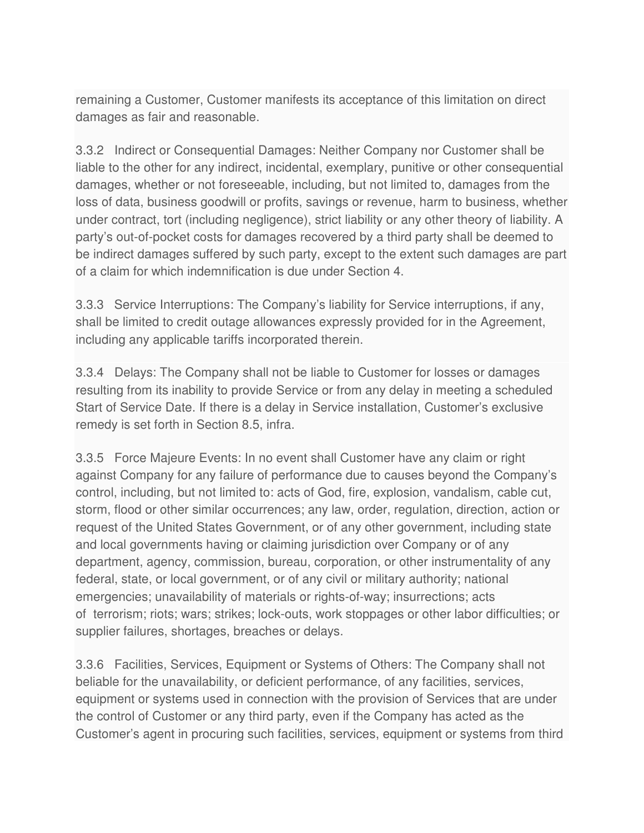remaining a Customer, Customer manifests its acceptance of this limitation on direct damages as fair and reasonable.

3.3.2 Indirect or Consequential Damages: Neither Company nor Customer shall be liable to the other for any indirect, incidental, exemplary, punitive or other consequential damages, whether or not foreseeable, including, but not limited to, damages from the loss of data, business goodwill or profits, savings or revenue, harm to business, whether under contract, tort (including negligence), strict liability or any other theory of liability. A party's out-of-pocket costs for damages recovered by a third party shall be deemed to be indirect damages suffered by such party, except to the extent such damages are part of a claim for which indemnification is due under Section 4.

3.3.3 Service Interruptions: The Company's liability for Service interruptions, if any, shall be limited to credit outage allowances expressly provided for in the Agreement, including any applicable tariffs incorporated therein.

3.3.4 Delays: The Company shall not be liable to Customer for losses or damages resulting from its inability to provide Service or from any delay in meeting a scheduled Start of Service Date. If there is a delay in Service installation, Customer's exclusive remedy is set forth in Section 8.5, infra.

3.3.5 Force Majeure Events: In no event shall Customer have any claim or right against Company for any failure of performance due to causes beyond the Company's control, including, but not limited to: acts of God, fire, explosion, vandalism, cable cut, storm, flood or other similar occurrences; any law, order, regulation, direction, action or request of the United States Government, or of any other government, including state and local governments having or claiming jurisdiction over Company or of any department, agency, commission, bureau, corporation, or other instrumentality of any federal, state, or local government, or of any civil or military authority; national emergencies; unavailability of materials or rights-of-way; insurrections; acts of terrorism; riots; wars; strikes; lock-outs, work stoppages or other labor difficulties; or supplier failures, shortages, breaches or delays.

3.3.6 Facilities, Services, Equipment or Systems of Others: The Company shall not beliable for the unavailability, or deficient performance, of any facilities, services, equipment or systems used in connection with the provision of Services that are under the control of Customer or any third party, even if the Company has acted as the Customer's agent in procuring such facilities, services, equipment or systems from third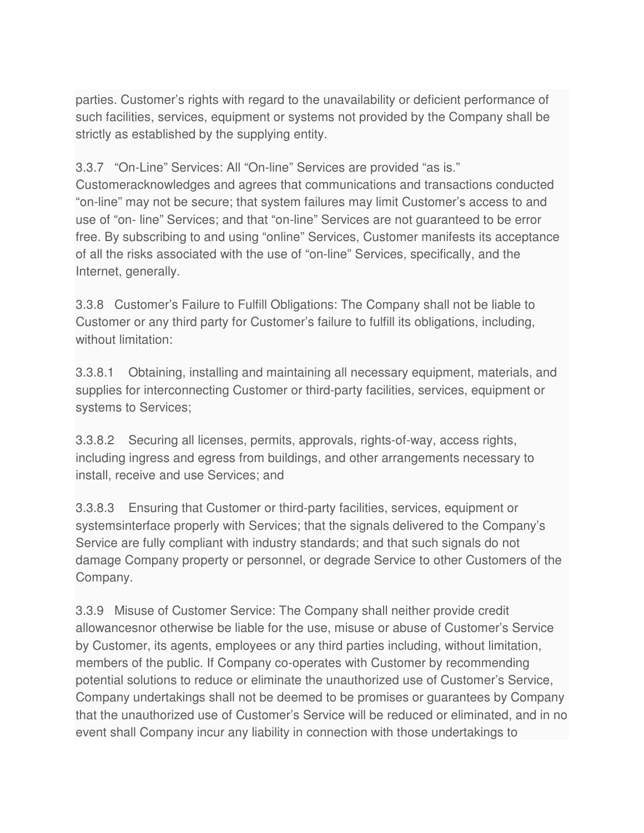parties. Customer's rights with regard to the unavailability or deficient performance of such facilities, services, equipment or systems not provided by the Company shall be strictly as established by the supplying entity.

### 3.3.7 "On-Line" Services: All "On-line" Services are provided "as is."

Customeracknowledges and agrees that communications and transactions conducted "on-line" may not be secure; that system failures may limit Customer's access to and use of "on- line" Services; and that "on-line" Services are not guaranteed to be error free. By subscribing to and using "online" Services, Customer manifests its acceptance of all the risks associated with the use of "on-line" Services, specifically, and the Internet, generally.

3.3.8 Customer's Failure to Fulfill Obligations: The Company shall not be liable to Customer or any third party for Customer's failure to fulfill its obligations, including, without limitation:

3.3.8.1 Obtaining, installing and maintaining all necessary equipment, materials, and supplies for interconnecting Customer or third-party facilities, services, equipment or systems to Services;

3.3.8.2 Securing all licenses, permits, approvals, rights-of-way, access rights, including ingress and egress from buildings, and other arrangements necessary to install, receive and use Services; and

3.3.8.3 Ensuring that Customer or third-party facilities, services, equipment or systemsinterface properly with Services; that the signals delivered to the Company's Service are fully compliant with industry standards; and that such signals do not damage Company property or personnel, or degrade Service to other Customers of the Company.

3.3.9 Misuse of Customer Service: The Company shall neither provide credit allowancesnor otherwise be liable for the use, misuse or abuse of Customer's Service by Customer, its agents, employees or any third parties including, without limitation, members of the public. If Company co-operates with Customer by recommending potential solutions to reduce or eliminate the unauthorized use of Customer's Service, Company undertakings shall not be deemed to be promises or guarantees by Company that the unauthorized use of Customer's Service will be reduced or eliminated, and in no event shall Company incur any liability in connection with those undertakings to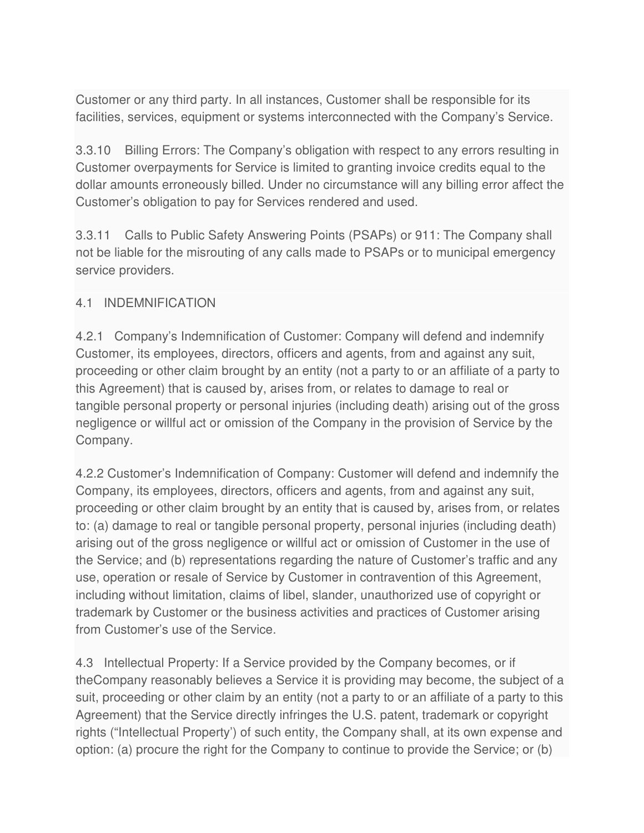Customer or any third party. In all instances, Customer shall be responsible for its facilities, services, equipment or systems interconnected with the Company's Service.

3.3.10 Billing Errors: The Company's obligation with respect to any errors resulting in Customer overpayments for Service is limited to granting invoice credits equal to the dollar amounts erroneously billed. Under no circumstance will any billing error affect the Customer's obligation to pay for Services rendered and used.

3.3.11 Calls to Public Safety Answering Points (PSAPs) or 911: The Company shall not be liable for the misrouting of any calls made to PSAPs or to municipal emergency service providers.

#### 4.1 INDEMNIFICATION

4.2.1 Company's Indemnification of Customer: Company will defend and indemnify Customer, its employees, directors, officers and agents, from and against any suit, proceeding or other claim brought by an entity (not a party to or an affiliate of a party to this Agreement) that is caused by, arises from, or relates to damage to real or tangible personal property or personal injuries (including death) arising out of the gross negligence or willful act or omission of the Company in the provision of Service by the Company.

4.2.2 Customer's Indemnification of Company: Customer will defend and indemnify the Company, its employees, directors, officers and agents, from and against any suit, proceeding or other claim brought by an entity that is caused by, arises from, or relates to: (a) damage to real or tangible personal property, personal injuries (including death) arising out of the gross negligence or willful act or omission of Customer in the use of the Service; and (b) representations regarding the nature of Customer's traffic and any use, operation or resale of Service by Customer in contravention of this Agreement, including without limitation, claims of libel, slander, unauthorized use of copyright or trademark by Customer or the business activities and practices of Customer arising from Customer's use of the Service.

4.3 Intellectual Property: If a Service provided by the Company becomes, or if theCompany reasonably believes a Service it is providing may become, the subject of a suit, proceeding or other claim by an entity (not a party to or an affiliate of a party to this Agreement) that the Service directly infringes the U.S. patent, trademark or copyright rights ("Intellectual Property') of such entity, the Company shall, at its own expense and option: (a) procure the right for the Company to continue to provide the Service; or (b)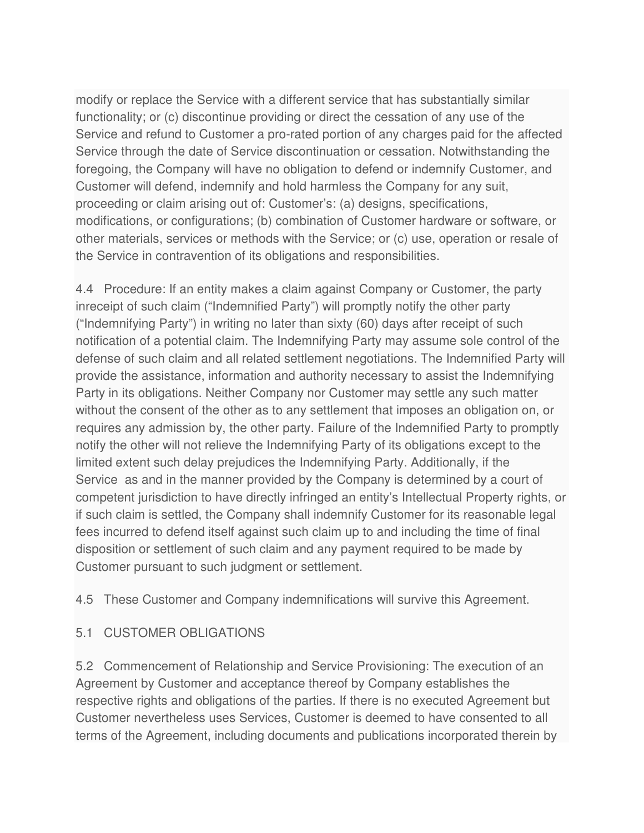modify or replace the Service with a different service that has substantially similar functionality; or (c) discontinue providing or direct the cessation of any use of the Service and refund to Customer a pro-rated portion of any charges paid for the affected Service through the date of Service discontinuation or cessation. Notwithstanding the foregoing, the Company will have no obligation to defend or indemnify Customer, and Customer will defend, indemnify and hold harmless the Company for any suit, proceeding or claim arising out of: Customer's: (a) designs, specifications, modifications, or configurations; (b) combination of Customer hardware or software, or other materials, services or methods with the Service; or (c) use, operation or resale of the Service in contravention of its obligations and responsibilities.

4.4 Procedure: If an entity makes a claim against Company or Customer, the party inreceipt of such claim ("Indemnified Party") will promptly notify the other party ("Indemnifying Party") in writing no later than sixty (60) days after receipt of such notification of a potential claim. The Indemnifying Party may assume sole control of the defense of such claim and all related settlement negotiations. The Indemnified Party will provide the assistance, information and authority necessary to assist the Indemnifying Party in its obligations. Neither Company nor Customer may settle any such matter without the consent of the other as to any settlement that imposes an obligation on, or requires any admission by, the other party. Failure of the Indemnified Party to promptly notify the other will not relieve the Indemnifying Party of its obligations except to the limited extent such delay prejudices the Indemnifying Party. Additionally, if the Service as and in the manner provided by the Company is determined by a court of competent jurisdiction to have directly infringed an entity's Intellectual Property rights, or if such claim is settled, the Company shall indemnify Customer for its reasonable legal fees incurred to defend itself against such claim up to and including the time of final disposition or settlement of such claim and any payment required to be made by Customer pursuant to such judgment or settlement.

4.5 These Customer and Company indemnifications will survive this Agreement.

# 5.1 CUSTOMER OBLIGATIONS

5.2 Commencement of Relationship and Service Provisioning: The execution of an Agreement by Customer and acceptance thereof by Company establishes the respective rights and obligations of the parties. If there is no executed Agreement but Customer nevertheless uses Services, Customer is deemed to have consented to all terms of the Agreement, including documents and publications incorporated therein by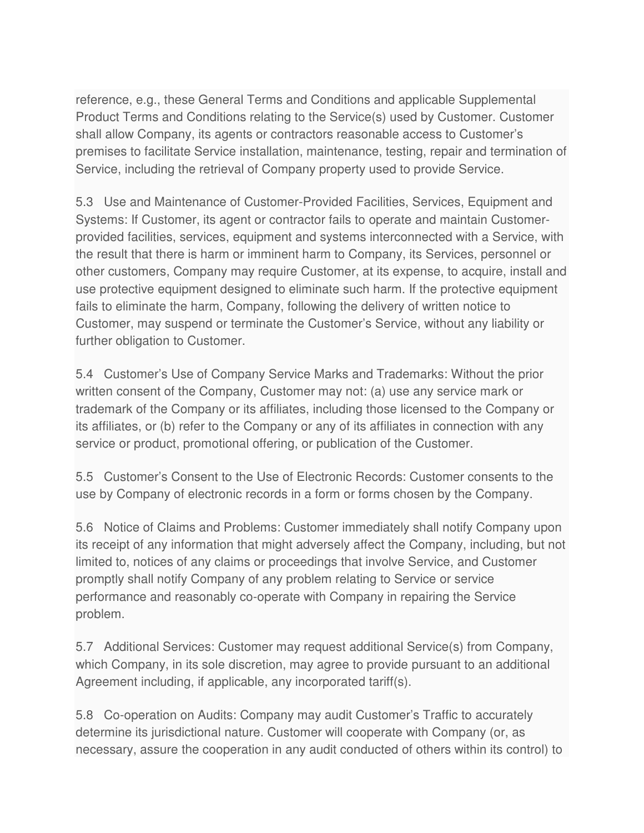reference, e.g., these General Terms and Conditions and applicable Supplemental Product Terms and Conditions relating to the Service(s) used by Customer. Customer shall allow Company, its agents or contractors reasonable access to Customer's premises to facilitate Service installation, maintenance, testing, repair and termination of Service, including the retrieval of Company property used to provide Service.

5.3 Use and Maintenance of Customer-Provided Facilities, Services, Equipment and Systems: If Customer, its agent or contractor fails to operate and maintain Customerprovided facilities, services, equipment and systems interconnected with a Service, with the result that there is harm or imminent harm to Company, its Services, personnel or other customers, Company may require Customer, at its expense, to acquire, install and use protective equipment designed to eliminate such harm. If the protective equipment fails to eliminate the harm, Company, following the delivery of written notice to Customer, may suspend or terminate the Customer's Service, without any liability or further obligation to Customer.

5.4 Customer's Use of Company Service Marks and Trademarks: Without the prior written consent of the Company, Customer may not: (a) use any service mark or trademark of the Company or its affiliates, including those licensed to the Company or its affiliates, or (b) refer to the Company or any of its affiliates in connection with any service or product, promotional offering, or publication of the Customer.

5.5 Customer's Consent to the Use of Electronic Records: Customer consents to the use by Company of electronic records in a form or forms chosen by the Company.

5.6 Notice of Claims and Problems: Customer immediately shall notify Company upon its receipt of any information that might adversely affect the Company, including, but not limited to, notices of any claims or proceedings that involve Service, and Customer promptly shall notify Company of any problem relating to Service or service performance and reasonably co-operate with Company in repairing the Service problem.

5.7 Additional Services: Customer may request additional Service(s) from Company, which Company, in its sole discretion, may agree to provide pursuant to an additional Agreement including, if applicable, any incorporated tariff(s).

5.8 Co-operation on Audits: Company may audit Customer's Traffic to accurately determine its jurisdictional nature. Customer will cooperate with Company (or, as necessary, assure the cooperation in any audit conducted of others within its control) to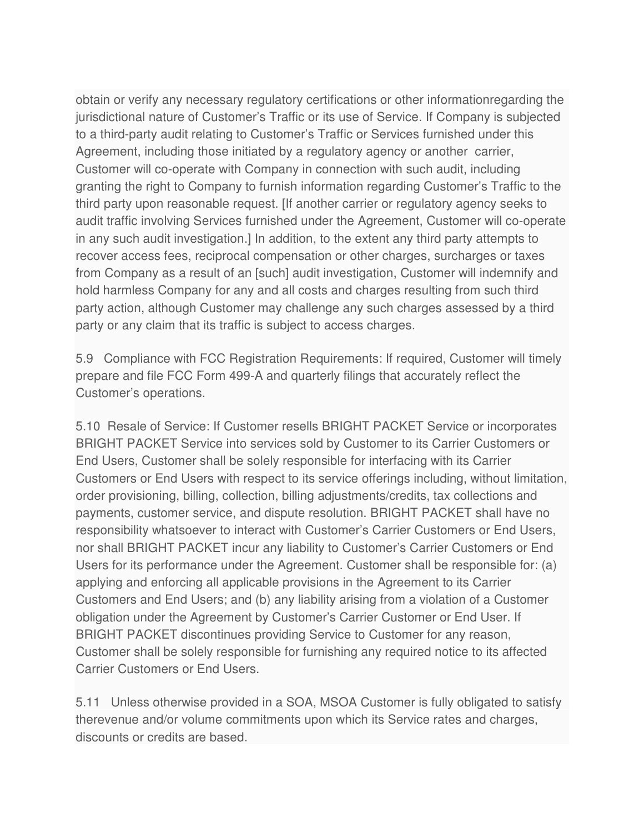obtain or verify any necessary regulatory certifications or other informationregarding the jurisdictional nature of Customer's Traffic or its use of Service. If Company is subjected to a third-party audit relating to Customer's Traffic or Services furnished under this Agreement, including those initiated by a regulatory agency or another carrier, Customer will co-operate with Company in connection with such audit, including granting the right to Company to furnish information regarding Customer's Traffic to the third party upon reasonable request. [If another carrier or regulatory agency seeks to audit traffic involving Services furnished under the Agreement, Customer will co-operate in any such audit investigation.] In addition, to the extent any third party attempts to recover access fees, reciprocal compensation or other charges, surcharges or taxes from Company as a result of an [such] audit investigation, Customer will indemnify and hold harmless Company for any and all costs and charges resulting from such third party action, although Customer may challenge any such charges assessed by a third party or any claim that its traffic is subject to access charges.

5.9 Compliance with FCC Registration Requirements: If required, Customer will timely prepare and file FCC Form 499-A and quarterly filings that accurately reflect the Customer's operations.

5.10 Resale of Service: If Customer resells BRIGHT PACKET Service or incorporates BRIGHT PACKET Service into services sold by Customer to its Carrier Customers or End Users, Customer shall be solely responsible for interfacing with its Carrier Customers or End Users with respect to its service offerings including, without limitation, order provisioning, billing, collection, billing adjustments/credits, tax collections and payments, customer service, and dispute resolution. BRIGHT PACKET shall have no responsibility whatsoever to interact with Customer's Carrier Customers or End Users, nor shall BRIGHT PACKET incur any liability to Customer's Carrier Customers or End Users for its performance under the Agreement. Customer shall be responsible for: (a) applying and enforcing all applicable provisions in the Agreement to its Carrier Customers and End Users; and (b) any liability arising from a violation of a Customer obligation under the Agreement by Customer's Carrier Customer or End User. If BRIGHT PACKET discontinues providing Service to Customer for any reason, Customer shall be solely responsible for furnishing any required notice to its affected Carrier Customers or End Users.

5.11 Unless otherwise provided in a SOA, MSOA Customer is fully obligated to satisfy therevenue and/or volume commitments upon which its Service rates and charges, discounts or credits are based.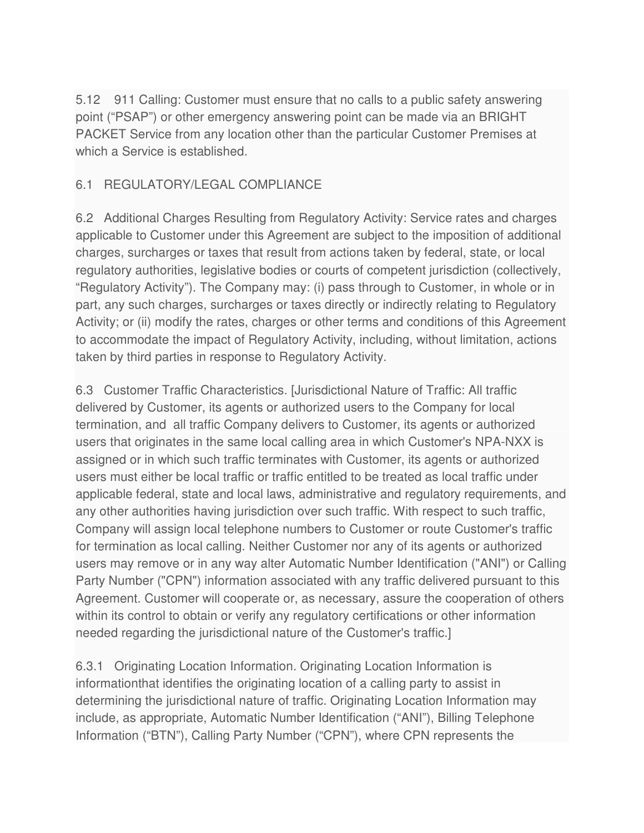5.12 911 Calling: Customer must ensure that no calls to a public safety answering point ("PSAP") or other emergency answering point can be made via an BRIGHT PACKET Service from any location other than the particular Customer Premises at which a Service is established.

### 6.1 REGULATORY/LEGAL COMPLIANCE

6.2 Additional Charges Resulting from Regulatory Activity: Service rates and charges applicable to Customer under this Agreement are subject to the imposition of additional charges, surcharges or taxes that result from actions taken by federal, state, or local regulatory authorities, legislative bodies or courts of competent jurisdiction (collectively, "Regulatory Activity"). The Company may: (i) pass through to Customer, in whole or in part, any such charges, surcharges or taxes directly or indirectly relating to Regulatory Activity; or (ii) modify the rates, charges or other terms and conditions of this Agreement to accommodate the impact of Regulatory Activity, including, without limitation, actions taken by third parties in response to Regulatory Activity.

6.3 Customer Traffic Characteristics. [Jurisdictional Nature of Traffic: All traffic delivered by Customer, its agents or authorized users to the Company for local termination, and all traffic Company delivers to Customer, its agents or authorized users that originates in the same local calling area in which Customer's NPA-NXX is assigned or in which such traffic terminates with Customer, its agents or authorized users must either be local traffic or traffic entitled to be treated as local traffic under applicable federal, state and local laws, administrative and regulatory requirements, and any other authorities having jurisdiction over such traffic. With respect to such traffic, Company will assign local telephone numbers to Customer or route Customer's traffic for termination as local calling. Neither Customer nor any of its agents or authorized users may remove or in any way alter Automatic Number Identification ("ANI") or Calling Party Number ("CPN") information associated with any traffic delivered pursuant to this Agreement. Customer will cooperate or, as necessary, assure the cooperation of others within its control to obtain or verify any regulatory certifications or other information needed regarding the jurisdictional nature of the Customer's traffic.]

6.3.1 Originating Location Information. Originating Location Information is informationthat identifies the originating location of a calling party to assist in determining the jurisdictional nature of traffic. Originating Location Information may include, as appropriate, Automatic Number Identification ("ANI"), Billing Telephone Information ("BTN"), Calling Party Number ("CPN"), where CPN represents the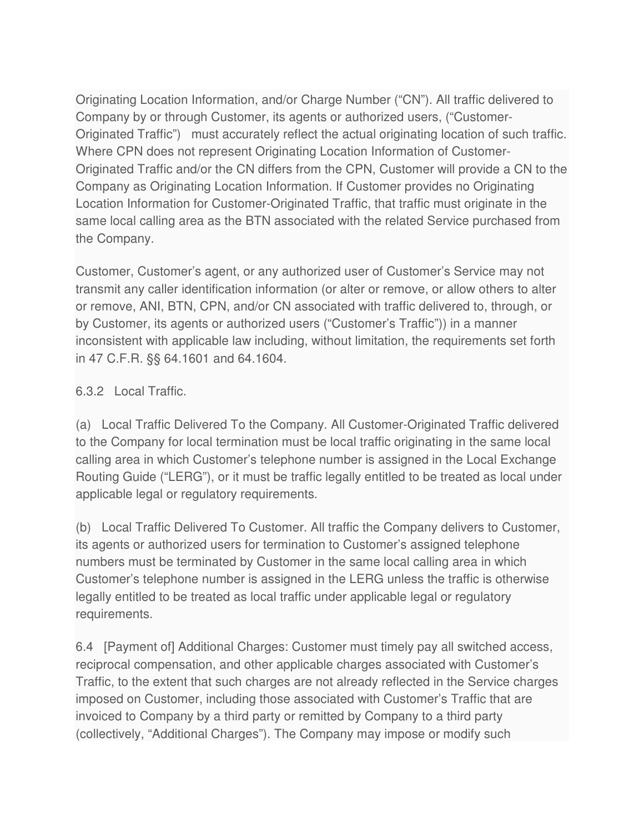Originating Location Information, and/or Charge Number ("CN"). All traffic delivered to Company by or through Customer, its agents or authorized users, ("Customer-Originated Traffic") must accurately reflect the actual originating location of such traffic. Where CPN does not represent Originating Location Information of Customer-Originated Traffic and/or the CN differs from the CPN, Customer will provide a CN to the Company as Originating Location Information. If Customer provides no Originating Location Information for Customer-Originated Traffic, that traffic must originate in the same local calling area as the BTN associated with the related Service purchased from the Company.

Customer, Customer's agent, or any authorized user of Customer's Service may not transmit any caller identification information (or alter or remove, or allow others to alter or remove, ANI, BTN, CPN, and/or CN associated with traffic delivered to, through, or by Customer, its agents or authorized users ("Customer's Traffic")) in a manner inconsistent with applicable law including, without limitation, the requirements set forth in 47 C.F.R. §§ 64.1601 and 64.1604.

### 6.3.2 Local Traffic.

(a) Local Traffic Delivered To the Company. All Customer-Originated Traffic delivered to the Company for local termination must be local traffic originating in the same local calling area in which Customer's telephone number is assigned in the Local Exchange Routing Guide ("LERG"), or it must be traffic legally entitled to be treated as local under applicable legal or regulatory requirements.

(b) Local Traffic Delivered To Customer. All traffic the Company delivers to Customer, its agents or authorized users for termination to Customer's assigned telephone numbers must be terminated by Customer in the same local calling area in which Customer's telephone number is assigned in the LERG unless the traffic is otherwise legally entitled to be treated as local traffic under applicable legal or regulatory requirements.

6.4 [Payment of] Additional Charges: Customer must timely pay all switched access, reciprocal compensation, and other applicable charges associated with Customer's Traffic, to the extent that such charges are not already reflected in the Service charges imposed on Customer, including those associated with Customer's Traffic that are invoiced to Company by a third party or remitted by Company to a third party (collectively, "Additional Charges"). The Company may impose or modify such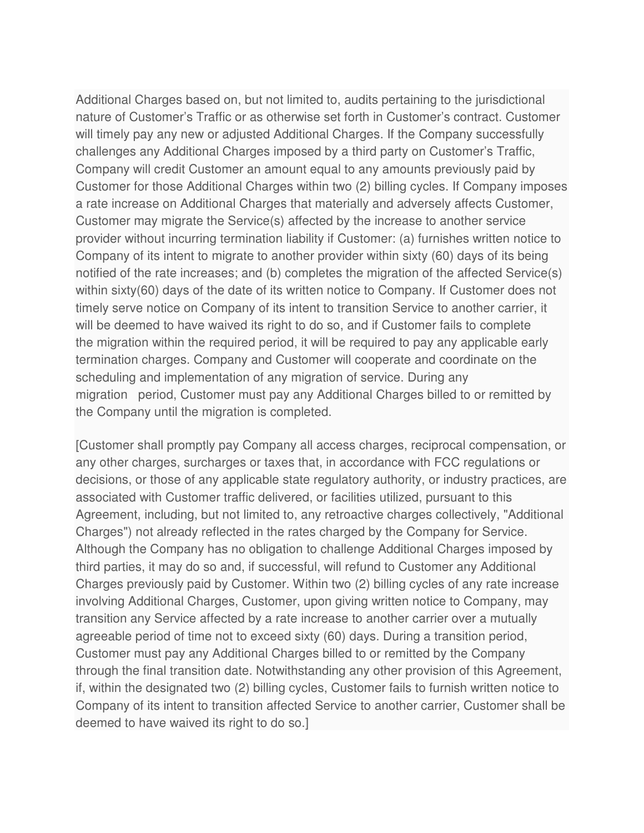Additional Charges based on, but not limited to, audits pertaining to the jurisdictional nature of Customer's Traffic or as otherwise set forth in Customer's contract. Customer will timely pay any new or adjusted Additional Charges. If the Company successfully challenges any Additional Charges imposed by a third party on Customer's Traffic, Company will credit Customer an amount equal to any amounts previously paid by Customer for those Additional Charges within two (2) billing cycles. If Company imposes a rate increase on Additional Charges that materially and adversely affects Customer, Customer may migrate the Service(s) affected by the increase to another service provider without incurring termination liability if Customer: (a) furnishes written notice to Company of its intent to migrate to another provider within sixty (60) days of its being notified of the rate increases; and (b) completes the migration of the affected Service(s) within sixty(60) days of the date of its written notice to Company. If Customer does not timely serve notice on Company of its intent to transition Service to another carrier, it will be deemed to have waived its right to do so, and if Customer fails to complete the migration within the required period, it will be required to pay any applicable early termination charges. Company and Customer will cooperate and coordinate on the scheduling and implementation of any migration of service. During any migration period, Customer must pay any Additional Charges billed to or remitted by the Company until the migration is completed.

[Customer shall promptly pay Company all access charges, reciprocal compensation, or any other charges, surcharges or taxes that, in accordance with FCC regulations or decisions, or those of any applicable state regulatory authority, or industry practices, are associated with Customer traffic delivered, or facilities utilized, pursuant to this Agreement, including, but not limited to, any retroactive charges collectively, "Additional Charges") not already reflected in the rates charged by the Company for Service. Although the Company has no obligation to challenge Additional Charges imposed by third parties, it may do so and, if successful, will refund to Customer any Additional Charges previously paid by Customer. Within two (2) billing cycles of any rate increase involving Additional Charges, Customer, upon giving written notice to Company, may transition any Service affected by a rate increase to another carrier over a mutually agreeable period of time not to exceed sixty (60) days. During a transition period, Customer must pay any Additional Charges billed to or remitted by the Company through the final transition date. Notwithstanding any other provision of this Agreement, if, within the designated two (2) billing cycles, Customer fails to furnish written notice to Company of its intent to transition affected Service to another carrier, Customer shall be deemed to have waived its right to do so.]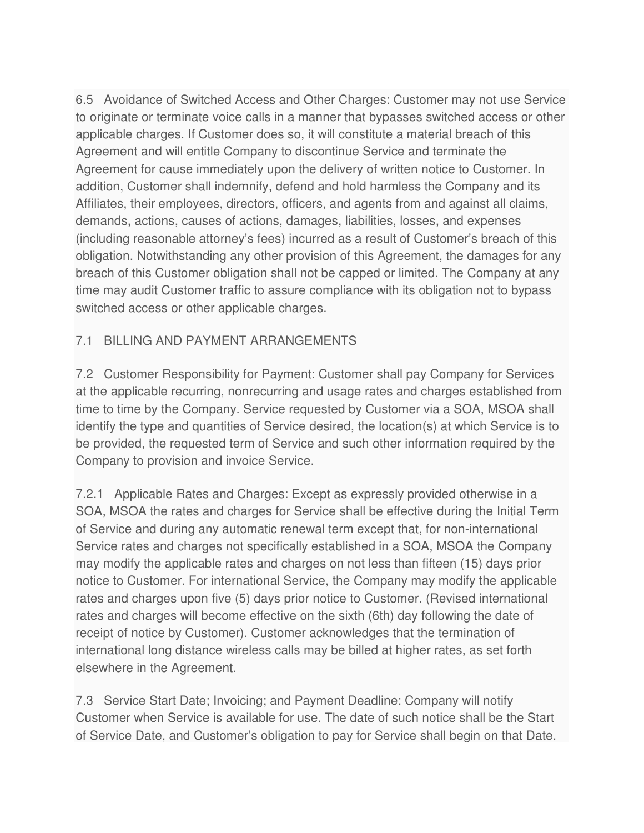6.5 Avoidance of Switched Access and Other Charges: Customer may not use Service to originate or terminate voice calls in a manner that bypasses switched access or other applicable charges. If Customer does so, it will constitute a material breach of this Agreement and will entitle Company to discontinue Service and terminate the Agreement for cause immediately upon the delivery of written notice to Customer. In addition, Customer shall indemnify, defend and hold harmless the Company and its Affiliates, their employees, directors, officers, and agents from and against all claims, demands, actions, causes of actions, damages, liabilities, losses, and expenses (including reasonable attorney's fees) incurred as a result of Customer's breach of this obligation. Notwithstanding any other provision of this Agreement, the damages for any breach of this Customer obligation shall not be capped or limited. The Company at any time may audit Customer traffic to assure compliance with its obligation not to bypass switched access or other applicable charges.

### 7.1 BILLING AND PAYMENT ARRANGEMENTS

7.2 Customer Responsibility for Payment: Customer shall pay Company for Services at the applicable recurring, nonrecurring and usage rates and charges established from time to time by the Company. Service requested by Customer via a SOA, MSOA shall identify the type and quantities of Service desired, the location(s) at which Service is to be provided, the requested term of Service and such other information required by the Company to provision and invoice Service.

7.2.1 Applicable Rates and Charges: Except as expressly provided otherwise in a SOA, MSOA the rates and charges for Service shall be effective during the Initial Term of Service and during any automatic renewal term except that, for non-international Service rates and charges not specifically established in a SOA, MSOA the Company may modify the applicable rates and charges on not less than fifteen (15) days prior notice to Customer. For international Service, the Company may modify the applicable rates and charges upon five (5) days prior notice to Customer. (Revised international rates and charges will become effective on the sixth (6th) day following the date of receipt of notice by Customer). Customer acknowledges that the termination of international long distance wireless calls may be billed at higher rates, as set forth elsewhere in the Agreement.

7.3 Service Start Date; Invoicing; and Payment Deadline: Company will notify Customer when Service is available for use. The date of such notice shall be the Start of Service Date, and Customer's obligation to pay for Service shall begin on that Date.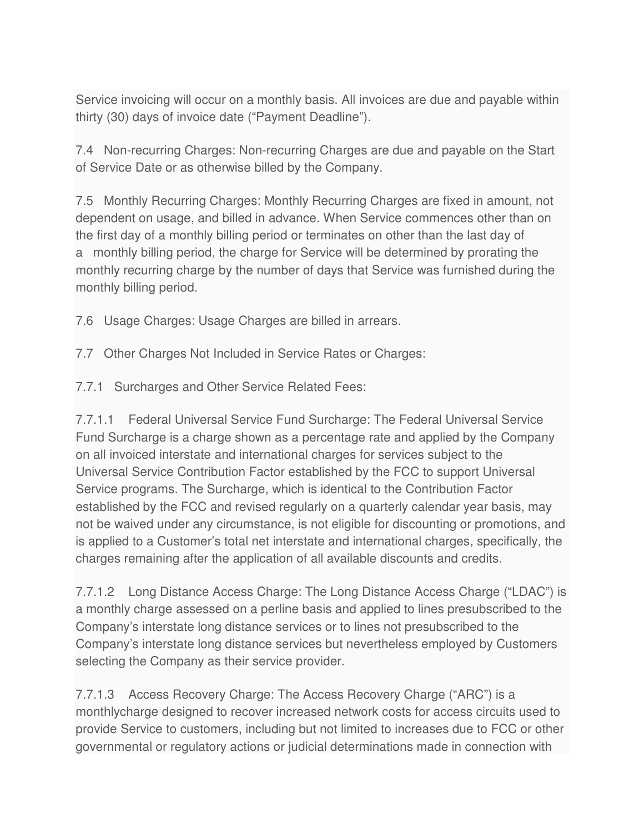Service invoicing will occur on a monthly basis. All invoices are due and payable within thirty (30) days of invoice date ("Payment Deadline").

7.4 Non-recurring Charges: Non-recurring Charges are due and payable on the Start of Service Date or as otherwise billed by the Company.

7.5 Monthly Recurring Charges: Monthly Recurring Charges are fixed in amount, not dependent on usage, and billed in advance. When Service commences other than on the first day of a monthly billing period or terminates on other than the last day of a monthly billing period, the charge for Service will be determined by prorating the monthly recurring charge by the number of days that Service was furnished during the monthly billing period.

7.6 Usage Charges: Usage Charges are billed in arrears.

7.7 Other Charges Not Included in Service Rates or Charges:

7.7.1 Surcharges and Other Service Related Fees:

7.7.1.1 Federal Universal Service Fund Surcharge: The Federal Universal Service Fund Surcharge is a charge shown as a percentage rate and applied by the Company on all invoiced interstate and international charges for services subject to the Universal Service Contribution Factor established by the FCC to support Universal Service programs. The Surcharge, which is identical to the Contribution Factor established by the FCC and revised regularly on a quarterly calendar year basis, may not be waived under any circumstance, is not eligible for discounting or promotions, and is applied to a Customer's total net interstate and international charges, specifically, the charges remaining after the application of all available discounts and credits.

7.7.1.2 Long Distance Access Charge: The Long Distance Access Charge ("LDAC") is a monthly charge assessed on a perline basis and applied to lines presubscribed to the Company's interstate long distance services or to lines not presubscribed to the Company's interstate long distance services but nevertheless employed by Customers selecting the Company as their service provider.

7.7.1.3 Access Recovery Charge: The Access Recovery Charge ("ARC") is a monthlycharge designed to recover increased network costs for access circuits used to provide Service to customers, including but not limited to increases due to FCC or other governmental or regulatory actions or judicial determinations made in connection with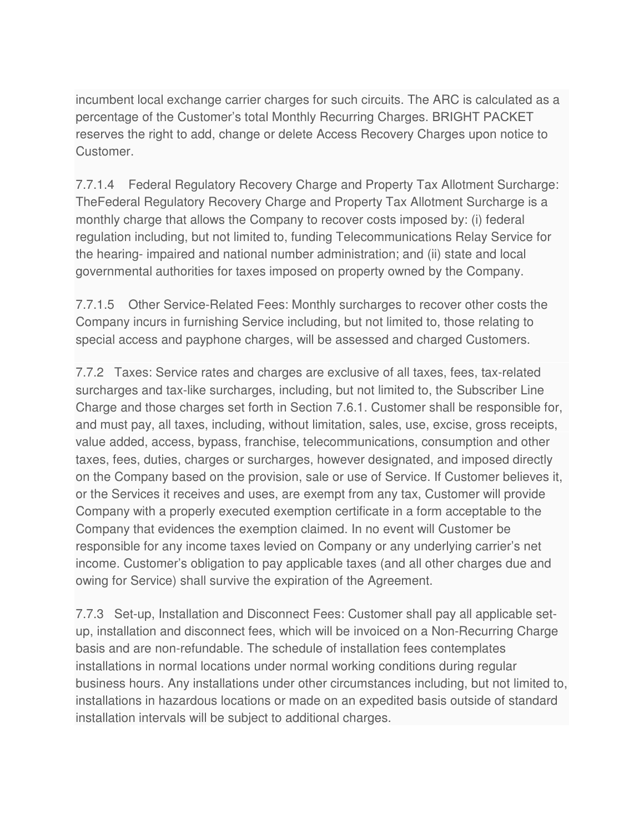incumbent local exchange carrier charges for such circuits. The ARC is calculated as a percentage of the Customer's total Monthly Recurring Charges. BRIGHT PACKET reserves the right to add, change or delete Access Recovery Charges upon notice to Customer.

7.7.1.4 Federal Regulatory Recovery Charge and Property Tax Allotment Surcharge: TheFederal Regulatory Recovery Charge and Property Tax Allotment Surcharge is a monthly charge that allows the Company to recover costs imposed by: (i) federal regulation including, but not limited to, funding Telecommunications Relay Service for the hearing- impaired and national number administration; and (ii) state and local governmental authorities for taxes imposed on property owned by the Company.

7.7.1.5 Other Service-Related Fees: Monthly surcharges to recover other costs the Company incurs in furnishing Service including, but not limited to, those relating to special access and payphone charges, will be assessed and charged Customers.

7.7.2 Taxes: Service rates and charges are exclusive of all taxes, fees, tax-related surcharges and tax-like surcharges, including, but not limited to, the Subscriber Line Charge and those charges set forth in Section 7.6.1. Customer shall be responsible for, and must pay, all taxes, including, without limitation, sales, use, excise, gross receipts, value added, access, bypass, franchise, telecommunications, consumption and other taxes, fees, duties, charges or surcharges, however designated, and imposed directly on the Company based on the provision, sale or use of Service. If Customer believes it, or the Services it receives and uses, are exempt from any tax, Customer will provide Company with a properly executed exemption certificate in a form acceptable to the Company that evidences the exemption claimed. In no event will Customer be responsible for any income taxes levied on Company or any underlying carrier's net income. Customer's obligation to pay applicable taxes (and all other charges due and owing for Service) shall survive the expiration of the Agreement.

7.7.3 Set-up, Installation and Disconnect Fees: Customer shall pay all applicable setup, installation and disconnect fees, which will be invoiced on a Non-Recurring Charge basis and are non-refundable. The schedule of installation fees contemplates installations in normal locations under normal working conditions during regular business hours. Any installations under other circumstances including, but not limited to, installations in hazardous locations or made on an expedited basis outside of standard installation intervals will be subject to additional charges.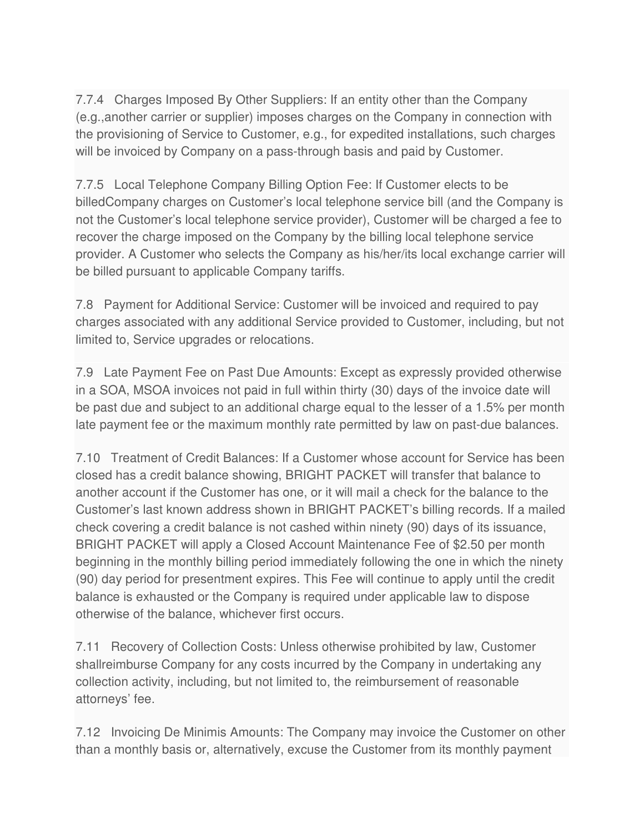7.7.4 Charges Imposed By Other Suppliers: If an entity other than the Company (e.g.,another carrier or supplier) imposes charges on the Company in connection with the provisioning of Service to Customer, e.g., for expedited installations, such charges will be invoiced by Company on a pass-through basis and paid by Customer.

7.7.5 Local Telephone Company Billing Option Fee: If Customer elects to be billedCompany charges on Customer's local telephone service bill (and the Company is not the Customer's local telephone service provider), Customer will be charged a fee to recover the charge imposed on the Company by the billing local telephone service provider. A Customer who selects the Company as his/her/its local exchange carrier will be billed pursuant to applicable Company tariffs.

7.8 Payment for Additional Service: Customer will be invoiced and required to pay charges associated with any additional Service provided to Customer, including, but not limited to, Service upgrades or relocations.

7.9 Late Payment Fee on Past Due Amounts: Except as expressly provided otherwise in a SOA, MSOA invoices not paid in full within thirty (30) days of the invoice date will be past due and subject to an additional charge equal to the lesser of a 1.5% per month late payment fee or the maximum monthly rate permitted by law on past-due balances.

7.10 Treatment of Credit Balances: If a Customer whose account for Service has been closed has a credit balance showing, BRIGHT PACKET will transfer that balance to another account if the Customer has one, or it will mail a check for the balance to the Customer's last known address shown in BRIGHT PACKET's billing records. If a mailed check covering a credit balance is not cashed within ninety (90) days of its issuance, BRIGHT PACKET will apply a Closed Account Maintenance Fee of \$2.50 per month beginning in the monthly billing period immediately following the one in which the ninety (90) day period for presentment expires. This Fee will continue to apply until the credit balance is exhausted or the Company is required under applicable law to dispose otherwise of the balance, whichever first occurs.

7.11 Recovery of Collection Costs: Unless otherwise prohibited by law, Customer shallreimburse Company for any costs incurred by the Company in undertaking any collection activity, including, but not limited to, the reimbursement of reasonable attorneys' fee.

7.12 Invoicing De Minimis Amounts: The Company may invoice the Customer on other than a monthly basis or, alternatively, excuse the Customer from its monthly payment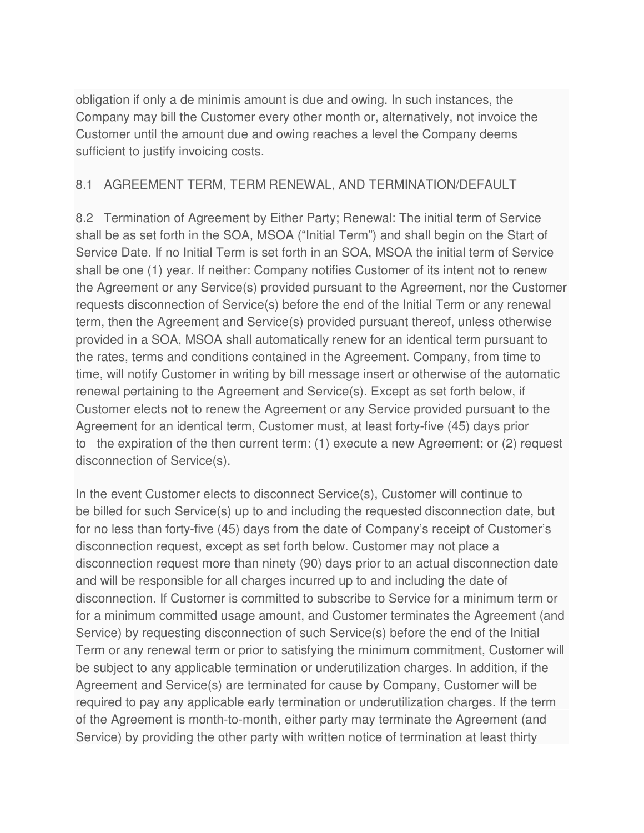obligation if only a de minimis amount is due and owing. In such instances, the Company may bill the Customer every other month or, alternatively, not invoice the Customer until the amount due and owing reaches a level the Company deems sufficient to justify invoicing costs.

#### 8.1 AGREEMENT TERM, TERM RENEWAL, AND TERMINATION/DEFAULT

8.2 Termination of Agreement by Either Party; Renewal: The initial term of Service shall be as set forth in the SOA, MSOA ("Initial Term") and shall begin on the Start of Service Date. If no Initial Term is set forth in an SOA, MSOA the initial term of Service shall be one (1) year. If neither: Company notifies Customer of its intent not to renew the Agreement or any Service(s) provided pursuant to the Agreement, nor the Customer requests disconnection of Service(s) before the end of the Initial Term or any renewal term, then the Agreement and Service(s) provided pursuant thereof, unless otherwise provided in a SOA, MSOA shall automatically renew for an identical term pursuant to the rates, terms and conditions contained in the Agreement. Company, from time to time, will notify Customer in writing by bill message insert or otherwise of the automatic renewal pertaining to the Agreement and Service(s). Except as set forth below, if Customer elects not to renew the Agreement or any Service provided pursuant to the Agreement for an identical term, Customer must, at least forty-five (45) days prior to the expiration of the then current term: (1) execute a new Agreement; or (2) request disconnection of Service(s).

In the event Customer elects to disconnect Service(s), Customer will continue to be billed for such Service(s) up to and including the requested disconnection date, but for no less than forty-five (45) days from the date of Company's receipt of Customer's disconnection request, except as set forth below. Customer may not place a disconnection request more than ninety (90) days prior to an actual disconnection date and will be responsible for all charges incurred up to and including the date of disconnection. If Customer is committed to subscribe to Service for a minimum term or for a minimum committed usage amount, and Customer terminates the Agreement (and Service) by requesting disconnection of such Service(s) before the end of the Initial Term or any renewal term or prior to satisfying the minimum commitment, Customer will be subject to any applicable termination or underutilization charges. In addition, if the Agreement and Service(s) are terminated for cause by Company, Customer will be required to pay any applicable early termination or underutilization charges. If the term of the Agreement is month-to-month, either party may terminate the Agreement (and Service) by providing the other party with written notice of termination at least thirty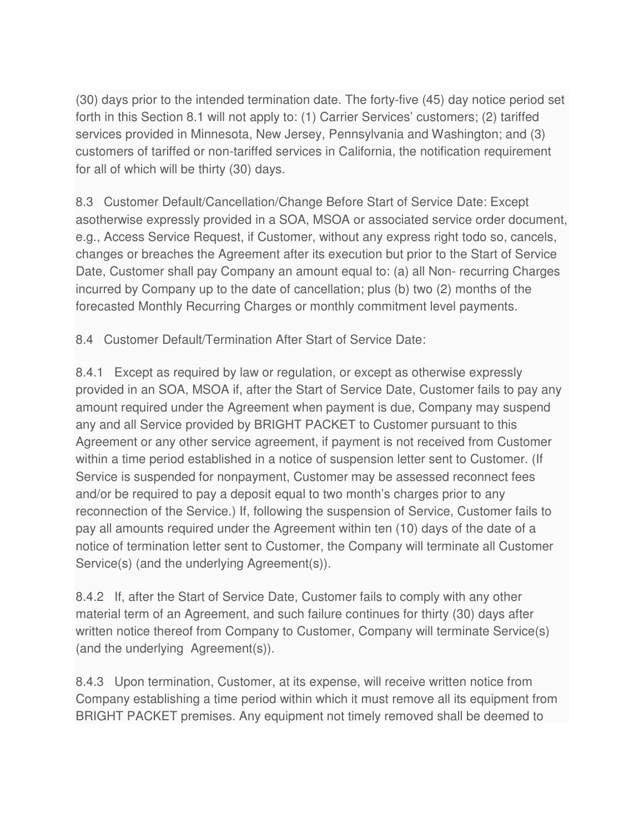(30) days prior to the intended termination date. The forty-five (45) day notice period set forth in this Section 8.1 will not apply to: (1) Carrier Services' customers; (2) tariffed services provided in Minnesota, New Jersey, Pennsylvania and Washington; and (3) customers of tariffed or non-tariffed services in California, the notification requirement for all of which will be thirty (30) days.

8.3 Customer Default/Cancellation/Change Before Start of Service Date: Except asotherwise expressly provided in a SOA, MSOA or associated service order document, e.g., Access Service Request, if Customer, without any express right todo so, cancels, changes or breaches the Agreement after its execution but prior to the Start of Service Date, Customer shall pay Company an amount equal to: (a) all Non- recurring Charges incurred by Company up to the date of cancellation; plus (b) two (2) months of the forecasted Monthly Recurring Charges or monthly commitment level payments.

8.4 Customer Default/Termination After Start of Service Date:

8.4.1 Except as required by law or regulation, or except as otherwise expressly provided in an SOA, MSOA if, after the Start of Service Date, Customer fails to pay any amount required under the Agreement when payment is due, Company may suspend any and all Service provided by BRIGHT PACKET to Customer pursuant to this Agreement or any other service agreement, if payment is not received from Customer within a time period established in a notice of suspension letter sent to Customer. (If Service is suspended for nonpayment, Customer may be assessed reconnect fees and/or be required to pay a deposit equal to two month's charges prior to any reconnection of the Service.) If, following the suspension of Service, Customer fails to pay all amounts required under the Agreement within ten (10) days of the date of a notice of termination letter sent to Customer, the Company will terminate all Customer Service(s) (and the underlying Agreement(s)).

8.4.2 If, after the Start of Service Date, Customer fails to comply with any other material term of an Agreement, and such failure continues for thirty (30) days after written notice thereof from Company to Customer, Company will terminate Service(s) (and the underlying Agreement(s)).

8.4.3 Upon termination, Customer, at its expense, will receive written notice from Company establishing a time period within which it must remove all its equipment from BRIGHT PACKET premises. Any equipment not timely removed shall be deemed to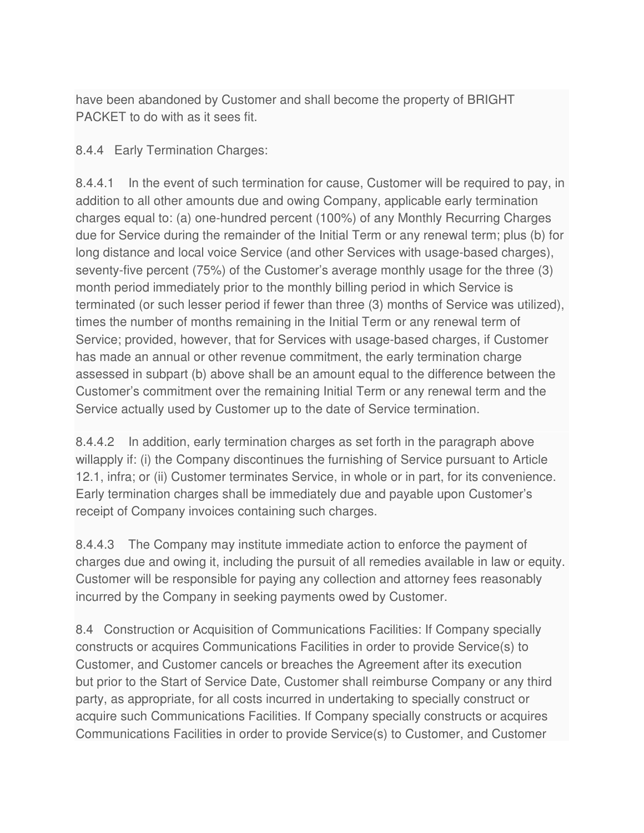have been abandoned by Customer and shall become the property of BRIGHT PACKET to do with as it sees fit.

#### 8.4.4 Early Termination Charges:

8.4.4.1 In the event of such termination for cause, Customer will be required to pay, in addition to all other amounts due and owing Company, applicable early termination charges equal to: (a) one-hundred percent (100%) of any Monthly Recurring Charges due for Service during the remainder of the Initial Term or any renewal term; plus (b) for long distance and local voice Service (and other Services with usage-based charges), seventy-five percent (75%) of the Customer's average monthly usage for the three (3) month period immediately prior to the monthly billing period in which Service is terminated (or such lesser period if fewer than three (3) months of Service was utilized), times the number of months remaining in the Initial Term or any renewal term of Service; provided, however, that for Services with usage-based charges, if Customer has made an annual or other revenue commitment, the early termination charge assessed in subpart (b) above shall be an amount equal to the difference between the Customer's commitment over the remaining Initial Term or any renewal term and the Service actually used by Customer up to the date of Service termination.

8.4.4.2 In addition, early termination charges as set forth in the paragraph above willapply if: (i) the Company discontinues the furnishing of Service pursuant to Article 12.1, infra; or (ii) Customer terminates Service, in whole or in part, for its convenience. Early termination charges shall be immediately due and payable upon Customer's receipt of Company invoices containing such charges.

8.4.4.3 The Company may institute immediate action to enforce the payment of charges due and owing it, including the pursuit of all remedies available in law or equity. Customer will be responsible for paying any collection and attorney fees reasonably incurred by the Company in seeking payments owed by Customer.

8.4 Construction or Acquisition of Communications Facilities: If Company specially constructs or acquires Communications Facilities in order to provide Service(s) to Customer, and Customer cancels or breaches the Agreement after its execution but prior to the Start of Service Date, Customer shall reimburse Company or any third party, as appropriate, for all costs incurred in undertaking to specially construct or acquire such Communications Facilities. If Company specially constructs or acquires Communications Facilities in order to provide Service(s) to Customer, and Customer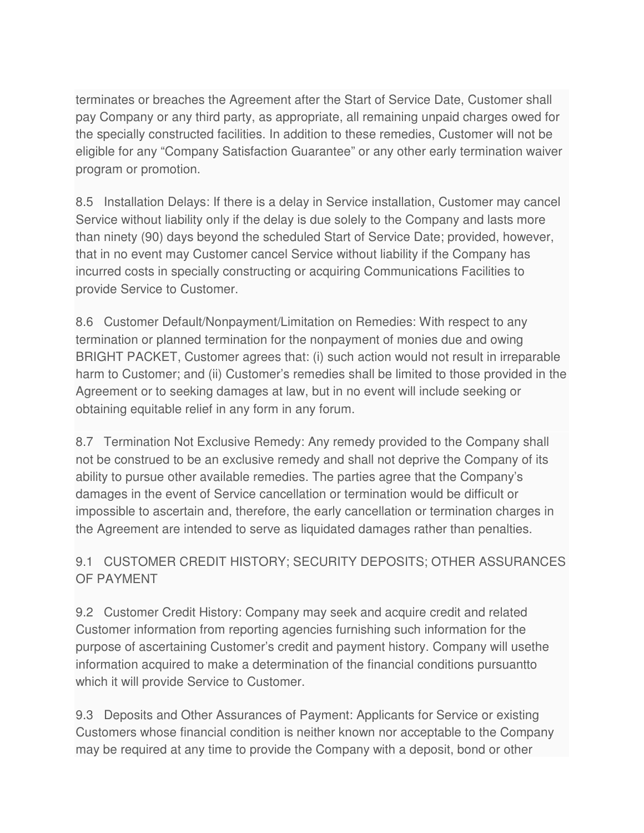terminates or breaches the Agreement after the Start of Service Date, Customer shall pay Company or any third party, as appropriate, all remaining unpaid charges owed for the specially constructed facilities. In addition to these remedies, Customer will not be eligible for any "Company Satisfaction Guarantee" or any other early termination waiver program or promotion.

8.5 Installation Delays: If there is a delay in Service installation, Customer may cancel Service without liability only if the delay is due solely to the Company and lasts more than ninety (90) days beyond the scheduled Start of Service Date; provided, however, that in no event may Customer cancel Service without liability if the Company has incurred costs in specially constructing or acquiring Communications Facilities to provide Service to Customer.

8.6 Customer Default/Nonpayment/Limitation on Remedies: With respect to any termination or planned termination for the nonpayment of monies due and owing BRIGHT PACKET, Customer agrees that: (i) such action would not result in irreparable harm to Customer; and (ii) Customer's remedies shall be limited to those provided in the Agreement or to seeking damages at law, but in no event will include seeking or obtaining equitable relief in any form in any forum.

8.7 Termination Not Exclusive Remedy: Any remedy provided to the Company shall not be construed to be an exclusive remedy and shall not deprive the Company of its ability to pursue other available remedies. The parties agree that the Company's damages in the event of Service cancellation or termination would be difficult or impossible to ascertain and, therefore, the early cancellation or termination charges in the Agreement are intended to serve as liquidated damages rather than penalties.

# 9.1 CUSTOMER CREDIT HISTORY; SECURITY DEPOSITS; OTHER ASSURANCES OF PAYMENT

9.2 Customer Credit History: Company may seek and acquire credit and related Customer information from reporting agencies furnishing such information for the purpose of ascertaining Customer's credit and payment history. Company will usethe information acquired to make a determination of the financial conditions pursuantto which it will provide Service to Customer.

9.3 Deposits and Other Assurances of Payment: Applicants for Service or existing Customers whose financial condition is neither known nor acceptable to the Company may be required at any time to provide the Company with a deposit, bond or other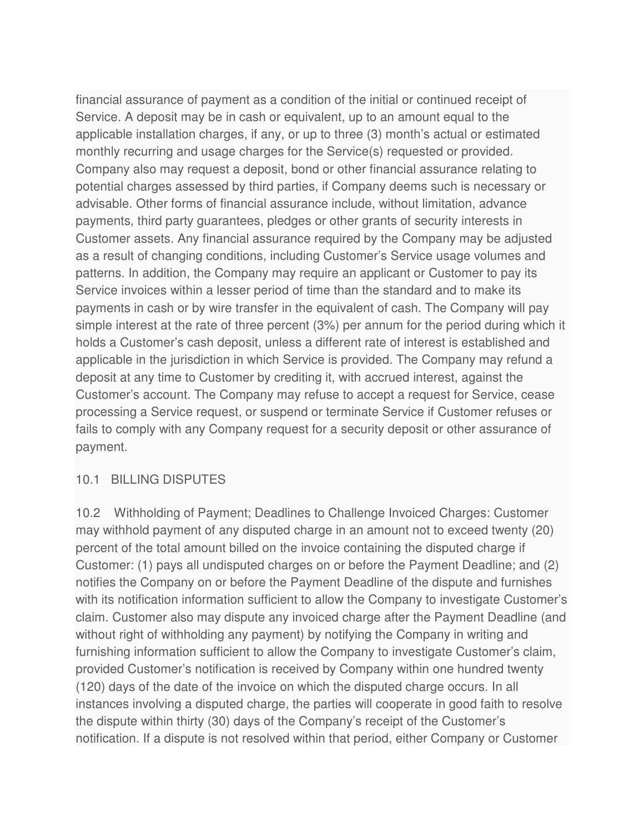financial assurance of payment as a condition of the initial or continued receipt of Service. A deposit may be in cash or equivalent, up to an amount equal to the applicable installation charges, if any, or up to three (3) month's actual or estimated monthly recurring and usage charges for the Service(s) requested or provided. Company also may request a deposit, bond or other financial assurance relating to potential charges assessed by third parties, if Company deems such is necessary or advisable. Other forms of financial assurance include, without limitation, advance payments, third party guarantees, pledges or other grants of security interests in Customer assets. Any financial assurance required by the Company may be adjusted as a result of changing conditions, including Customer's Service usage volumes and patterns. In addition, the Company may require an applicant or Customer to pay its Service invoices within a lesser period of time than the standard and to make its payments in cash or by wire transfer in the equivalent of cash. The Company will pay simple interest at the rate of three percent (3%) per annum for the period during which it holds a Customer's cash deposit, unless a different rate of interest is established and applicable in the jurisdiction in which Service is provided. The Company may refund a deposit at any time to Customer by crediting it, with accrued interest, against the Customer's account. The Company may refuse to accept a request for Service, cease processing a Service request, or suspend or terminate Service if Customer refuses or fails to comply with any Company request for a security deposit or other assurance of payment.

#### 10.1 BILLING DISPUTES

10.2 Withholding of Payment; Deadlines to Challenge Invoiced Charges: Customer may withhold payment of any disputed charge in an amount not to exceed twenty (20) percent of the total amount billed on the invoice containing the disputed charge if Customer: (1) pays all undisputed charges on or before the Payment Deadline; and (2) notifies the Company on or before the Payment Deadline of the dispute and furnishes with its notification information sufficient to allow the Company to investigate Customer's claim. Customer also may dispute any invoiced charge after the Payment Deadline (and without right of withholding any payment) by notifying the Company in writing and furnishing information sufficient to allow the Company to investigate Customer's claim, provided Customer's notification is received by Company within one hundred twenty (120) days of the date of the invoice on which the disputed charge occurs. In all instances involving a disputed charge, the parties will cooperate in good faith to resolve the dispute within thirty (30) days of the Company's receipt of the Customer's notification. If a dispute is not resolved within that period, either Company or Customer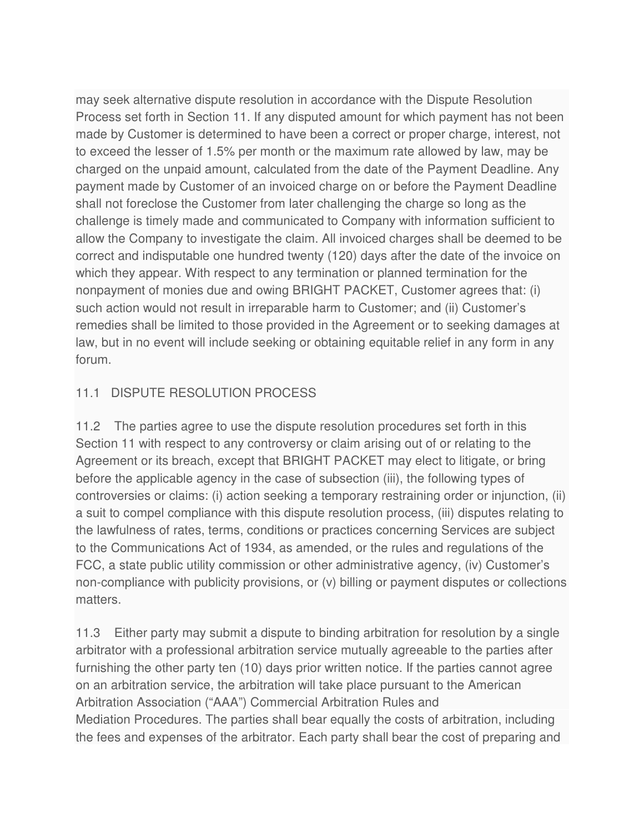may seek alternative dispute resolution in accordance with the Dispute Resolution Process set forth in Section 11. If any disputed amount for which payment has not been made by Customer is determined to have been a correct or proper charge, interest, not to exceed the lesser of 1.5% per month or the maximum rate allowed by law, may be charged on the unpaid amount, calculated from the date of the Payment Deadline. Any payment made by Customer of an invoiced charge on or before the Payment Deadline shall not foreclose the Customer from later challenging the charge so long as the challenge is timely made and communicated to Company with information sufficient to allow the Company to investigate the claim. All invoiced charges shall be deemed to be correct and indisputable one hundred twenty (120) days after the date of the invoice on which they appear. With respect to any termination or planned termination for the nonpayment of monies due and owing BRIGHT PACKET, Customer agrees that: (i) such action would not result in irreparable harm to Customer; and (ii) Customer's remedies shall be limited to those provided in the Agreement or to seeking damages at law, but in no event will include seeking or obtaining equitable relief in any form in any forum.

### 11.1 DISPUTE RESOLUTION PROCESS

11.2 The parties agree to use the dispute resolution procedures set forth in this Section 11 with respect to any controversy or claim arising out of or relating to the Agreement or its breach, except that BRIGHT PACKET may elect to litigate, or bring before the applicable agency in the case of subsection (iii), the following types of controversies or claims: (i) action seeking a temporary restraining order or injunction, (ii) a suit to compel compliance with this dispute resolution process, (iii) disputes relating to the lawfulness of rates, terms, conditions or practices concerning Services are subject to the Communications Act of 1934, as amended, or the rules and regulations of the FCC, a state public utility commission or other administrative agency, (iv) Customer's non-compliance with publicity provisions, or (v) billing or payment disputes or collections matters.

11.3 Either party may submit a dispute to binding arbitration for resolution by a single arbitrator with a professional arbitration service mutually agreeable to the parties after furnishing the other party ten (10) days prior written notice. If the parties cannot agree on an arbitration service, the arbitration will take place pursuant to the American Arbitration Association ("AAA") Commercial Arbitration Rules and Mediation Procedures. The parties shall bear equally the costs of arbitration, including the fees and expenses of the arbitrator. Each party shall bear the cost of preparing and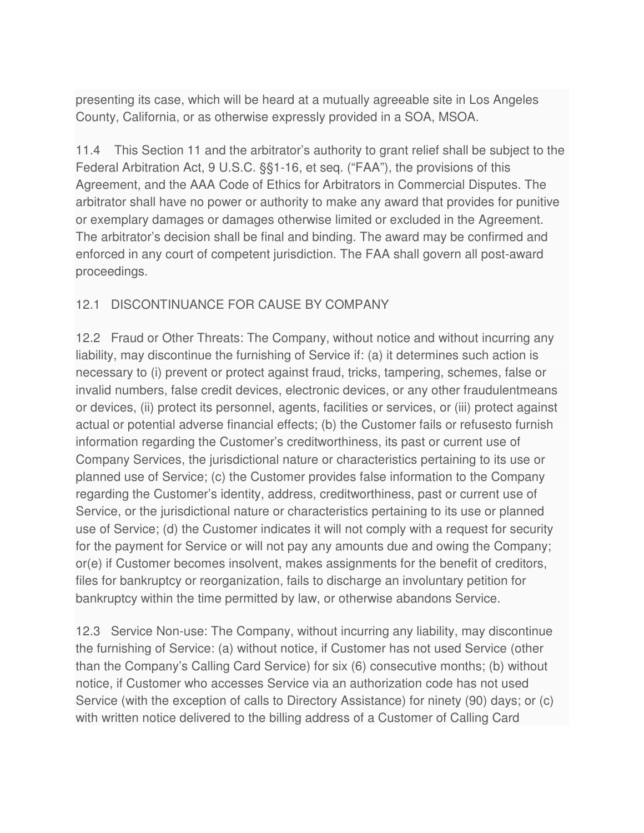presenting its case, which will be heard at a mutually agreeable site in Los Angeles County, California, or as otherwise expressly provided in a SOA, MSOA.

11.4 This Section 11 and the arbitrator's authority to grant relief shall be subject to the Federal Arbitration Act, 9 U.S.C. §§1-16, et seq. ("FAA"), the provisions of this Agreement, and the AAA Code of Ethics for Arbitrators in Commercial Disputes. The arbitrator shall have no power or authority to make any award that provides for punitive or exemplary damages or damages otherwise limited or excluded in the Agreement. The arbitrator's decision shall be final and binding. The award may be confirmed and enforced in any court of competent jurisdiction. The FAA shall govern all post-award proceedings.

### 12.1 DISCONTINUANCE FOR CAUSE BY COMPANY

12.2 Fraud or Other Threats: The Company, without notice and without incurring any liability, may discontinue the furnishing of Service if: (a) it determines such action is necessary to (i) prevent or protect against fraud, tricks, tampering, schemes, false or invalid numbers, false credit devices, electronic devices, or any other fraudulentmeans or devices, (ii) protect its personnel, agents, facilities or services, or (iii) protect against actual or potential adverse financial effects; (b) the Customer fails or refusesto furnish information regarding the Customer's creditworthiness, its past or current use of Company Services, the jurisdictional nature or characteristics pertaining to its use or planned use of Service; (c) the Customer provides false information to the Company regarding the Customer's identity, address, creditworthiness, past or current use of Service, or the jurisdictional nature or characteristics pertaining to its use or planned use of Service; (d) the Customer indicates it will not comply with a request for security for the payment for Service or will not pay any amounts due and owing the Company; or(e) if Customer becomes insolvent, makes assignments for the benefit of creditors, files for bankruptcy or reorganization, fails to discharge an involuntary petition for bankruptcy within the time permitted by law, or otherwise abandons Service.

12.3 Service Non-use: The Company, without incurring any liability, may discontinue the furnishing of Service: (a) without notice, if Customer has not used Service (other than the Company's Calling Card Service) for six (6) consecutive months; (b) without notice, if Customer who accesses Service via an authorization code has not used Service (with the exception of calls to Directory Assistance) for ninety (90) days; or (c) with written notice delivered to the billing address of a Customer of Calling Card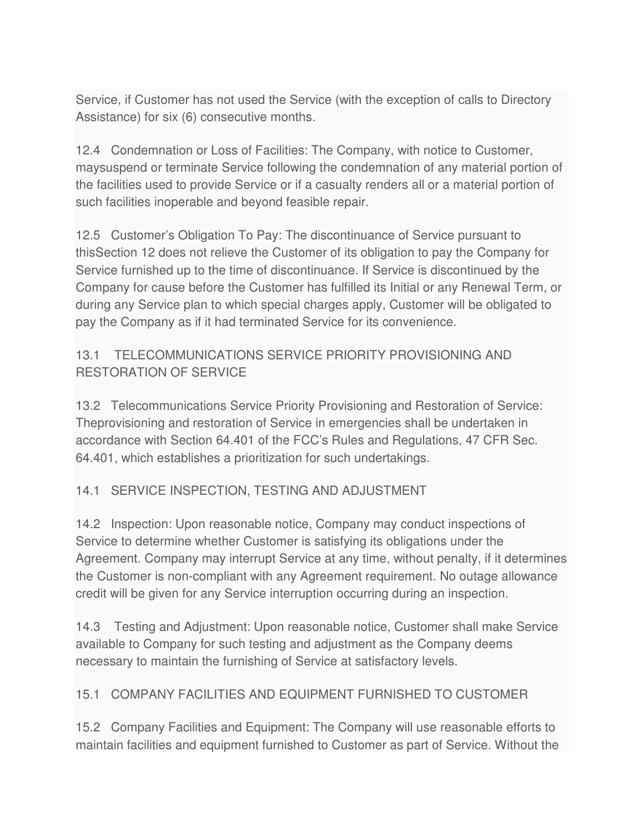Service, if Customer has not used the Service (with the exception of calls to Directory Assistance) for six (6) consecutive months.

12.4 Condemnation or Loss of Facilities: The Company, with notice to Customer, maysuspend or terminate Service following the condemnation of any material portion of the facilities used to provide Service or if a casualty renders all or a material portion of such facilities inoperable and beyond feasible repair.

12.5 Customer's Obligation To Pay: The discontinuance of Service pursuant to thisSection 12 does not relieve the Customer of its obligation to pay the Company for Service furnished up to the time of discontinuance. If Service is discontinued by the Company for cause before the Customer has fulfilled its Initial or any Renewal Term, or during any Service plan to which special charges apply, Customer will be obligated to pay the Company as if it had terminated Service for its convenience.

# 13.1 TELECOMMUNICATIONS SERVICE PRIORITY PROVISIONING AND RESTORATION OF SERVICE

13.2 Telecommunications Service Priority Provisioning and Restoration of Service: Theprovisioning and restoration of Service in emergencies shall be undertaken in accordance with Section 64.401 of the FCC's Rules and Regulations, 47 CFR Sec. 64.401, which establishes a prioritization for such undertakings.

# 14.1 SERVICE INSPECTION, TESTING AND ADJUSTMENT

14.2 Inspection: Upon reasonable notice, Company may conduct inspections of Service to determine whether Customer is satisfying its obligations under the Agreement. Company may interrupt Service at any time, without penalty, if it determines the Customer is non-compliant with any Agreement requirement. No outage allowance credit will be given for any Service interruption occurring during an inspection.

14.3 Testing and Adjustment: Upon reasonable notice, Customer shall make Service available to Company for such testing and adjustment as the Company deems necessary to maintain the furnishing of Service at satisfactory levels.

### 15.1 COMPANY FACILITIES AND EQUIPMENT FURNISHED TO CUSTOMER

15.2 Company Facilities and Equipment: The Company will use reasonable efforts to maintain facilities and equipment furnished to Customer as part of Service. Without the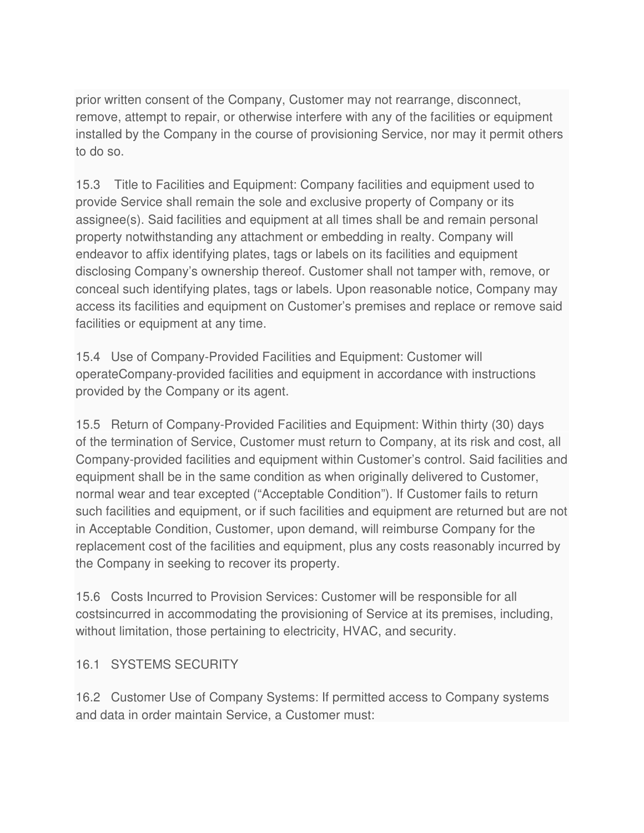prior written consent of the Company, Customer may not rearrange, disconnect, remove, attempt to repair, or otherwise interfere with any of the facilities or equipment installed by the Company in the course of provisioning Service, nor may it permit others to do so.

15.3 Title to Facilities and Equipment: Company facilities and equipment used to provide Service shall remain the sole and exclusive property of Company or its assignee(s). Said facilities and equipment at all times shall be and remain personal property notwithstanding any attachment or embedding in realty. Company will endeavor to affix identifying plates, tags or labels on its facilities and equipment disclosing Company's ownership thereof. Customer shall not tamper with, remove, or conceal such identifying plates, tags or labels. Upon reasonable notice, Company may access its facilities and equipment on Customer's premises and replace or remove said facilities or equipment at any time.

15.4 Use of Company-Provided Facilities and Equipment: Customer will operateCompany-provided facilities and equipment in accordance with instructions provided by the Company or its agent.

15.5 Return of Company-Provided Facilities and Equipment: Within thirty (30) days of the termination of Service, Customer must return to Company, at its risk and cost, all Company-provided facilities and equipment within Customer's control. Said facilities and equipment shall be in the same condition as when originally delivered to Customer, normal wear and tear excepted ("Acceptable Condition"). If Customer fails to return such facilities and equipment, or if such facilities and equipment are returned but are not in Acceptable Condition, Customer, upon demand, will reimburse Company for the replacement cost of the facilities and equipment, plus any costs reasonably incurred by the Company in seeking to recover its property.

15.6 Costs Incurred to Provision Services: Customer will be responsible for all costsincurred in accommodating the provisioning of Service at its premises, including, without limitation, those pertaining to electricity, HVAC, and security.

### 16.1 SYSTEMS SECURITY

16.2 Customer Use of Company Systems: If permitted access to Company systems and data in order maintain Service, a Customer must: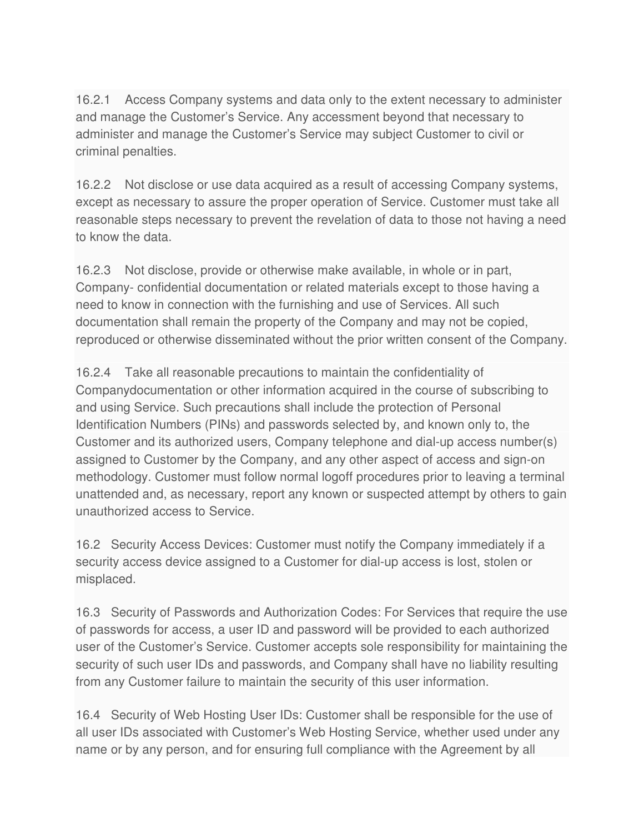16.2.1 Access Company systems and data only to the extent necessary to administer and manage the Customer's Service. Any accessment beyond that necessary to administer and manage the Customer's Service may subject Customer to civil or criminal penalties.

16.2.2 Not disclose or use data acquired as a result of accessing Company systems, except as necessary to assure the proper operation of Service. Customer must take all reasonable steps necessary to prevent the revelation of data to those not having a need to know the data.

16.2.3 Not disclose, provide or otherwise make available, in whole or in part, Company- confidential documentation or related materials except to those having a need to know in connection with the furnishing and use of Services. All such documentation shall remain the property of the Company and may not be copied, reproduced or otherwise disseminated without the prior written consent of the Company.

16.2.4 Take all reasonable precautions to maintain the confidentiality of Companydocumentation or other information acquired in the course of subscribing to and using Service. Such precautions shall include the protection of Personal Identification Numbers (PINs) and passwords selected by, and known only to, the Customer and its authorized users, Company telephone and dial-up access number(s) assigned to Customer by the Company, and any other aspect of access and sign-on methodology. Customer must follow normal logoff procedures prior to leaving a terminal unattended and, as necessary, report any known or suspected attempt by others to gain unauthorized access to Service.

16.2 Security Access Devices: Customer must notify the Company immediately if a security access device assigned to a Customer for dial-up access is lost, stolen or misplaced.

16.3 Security of Passwords and Authorization Codes: For Services that require the use of passwords for access, a user ID and password will be provided to each authorized user of the Customer's Service. Customer accepts sole responsibility for maintaining the security of such user IDs and passwords, and Company shall have no liability resulting from any Customer failure to maintain the security of this user information.

16.4 Security of Web Hosting User IDs: Customer shall be responsible for the use of all user IDs associated with Customer's Web Hosting Service, whether used under any name or by any person, and for ensuring full compliance with the Agreement by all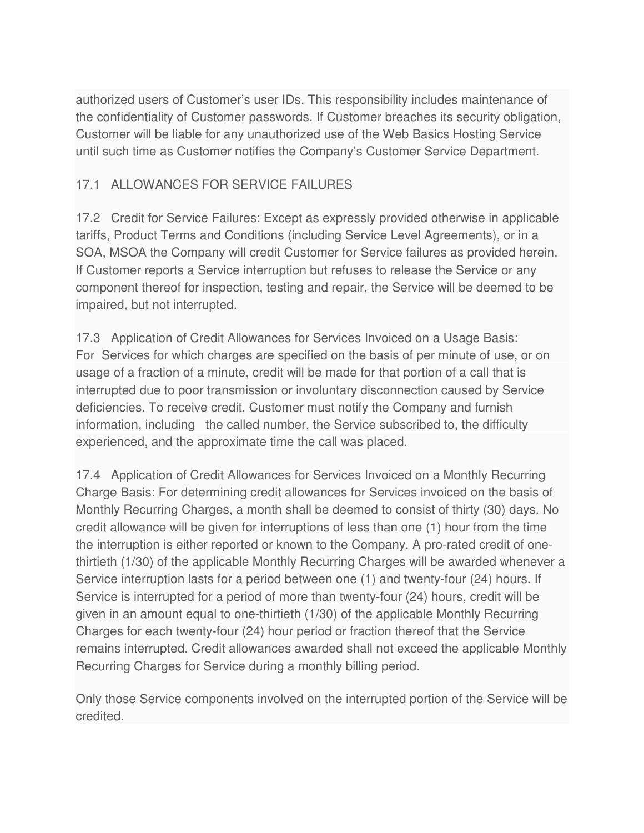authorized users of Customer's user IDs. This responsibility includes maintenance of the confidentiality of Customer passwords. If Customer breaches its security obligation, Customer will be liable for any unauthorized use of the Web Basics Hosting Service until such time as Customer notifies the Company's Customer Service Department.

### 17.1 ALLOWANCES FOR SERVICE FAILURES

17.2 Credit for Service Failures: Except as expressly provided otherwise in applicable tariffs, Product Terms and Conditions (including Service Level Agreements), or in a SOA, MSOA the Company will credit Customer for Service failures as provided herein. If Customer reports a Service interruption but refuses to release the Service or any component thereof for inspection, testing and repair, the Service will be deemed to be impaired, but not interrupted.

17.3 Application of Credit Allowances for Services Invoiced on a Usage Basis: For Services for which charges are specified on the basis of per minute of use, or on usage of a fraction of a minute, credit will be made for that portion of a call that is interrupted due to poor transmission or involuntary disconnection caused by Service deficiencies. To receive credit, Customer must notify the Company and furnish information, including the called number, the Service subscribed to, the difficulty experienced, and the approximate time the call was placed.

17.4 Application of Credit Allowances for Services Invoiced on a Monthly Recurring Charge Basis: For determining credit allowances for Services invoiced on the basis of Monthly Recurring Charges, a month shall be deemed to consist of thirty (30) days. No credit allowance will be given for interruptions of less than one (1) hour from the time the interruption is either reported or known to the Company. A pro-rated credit of onethirtieth (1/30) of the applicable Monthly Recurring Charges will be awarded whenever a Service interruption lasts for a period between one (1) and twenty-four (24) hours. If Service is interrupted for a period of more than twenty-four (24) hours, credit will be given in an amount equal to one-thirtieth (1/30) of the applicable Monthly Recurring Charges for each twenty-four (24) hour period or fraction thereof that the Service remains interrupted. Credit allowances awarded shall not exceed the applicable Monthly Recurring Charges for Service during a monthly billing period.

Only those Service components involved on the interrupted portion of the Service will be credited.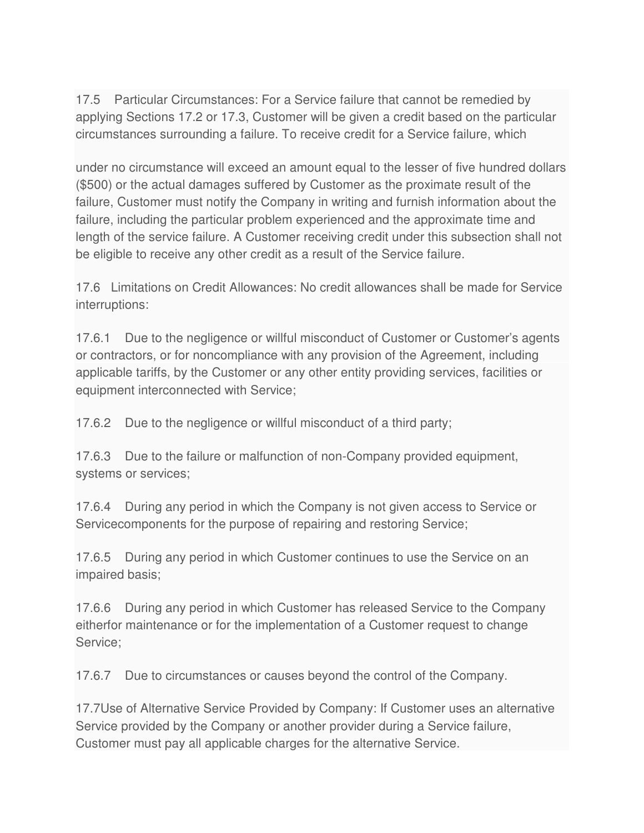17.5 Particular Circumstances: For a Service failure that cannot be remedied by applying Sections 17.2 or 17.3, Customer will be given a credit based on the particular circumstances surrounding a failure. To receive credit for a Service failure, which

under no circumstance will exceed an amount equal to the lesser of five hundred dollars (\$500) or the actual damages suffered by Customer as the proximate result of the failure, Customer must notify the Company in writing and furnish information about the failure, including the particular problem experienced and the approximate time and length of the service failure. A Customer receiving credit under this subsection shall not be eligible to receive any other credit as a result of the Service failure.

17.6 Limitations on Credit Allowances: No credit allowances shall be made for Service interruptions:

17.6.1 Due to the negligence or willful misconduct of Customer or Customer's agents or contractors, or for noncompliance with any provision of the Agreement, including applicable tariffs, by the Customer or any other entity providing services, facilities or equipment interconnected with Service;

17.6.2 Due to the negligence or willful misconduct of a third party;

17.6.3 Due to the failure or malfunction of non-Company provided equipment, systems or services;

17.6.4 During any period in which the Company is not given access to Service or Servicecomponents for the purpose of repairing and restoring Service;

17.6.5 During any period in which Customer continues to use the Service on an impaired basis;

17.6.6 During any period in which Customer has released Service to the Company eitherfor maintenance or for the implementation of a Customer request to change Service;

17.6.7 Due to circumstances or causes beyond the control of the Company.

17.7Use of Alternative Service Provided by Company: If Customer uses an alternative Service provided by the Company or another provider during a Service failure, Customer must pay all applicable charges for the alternative Service.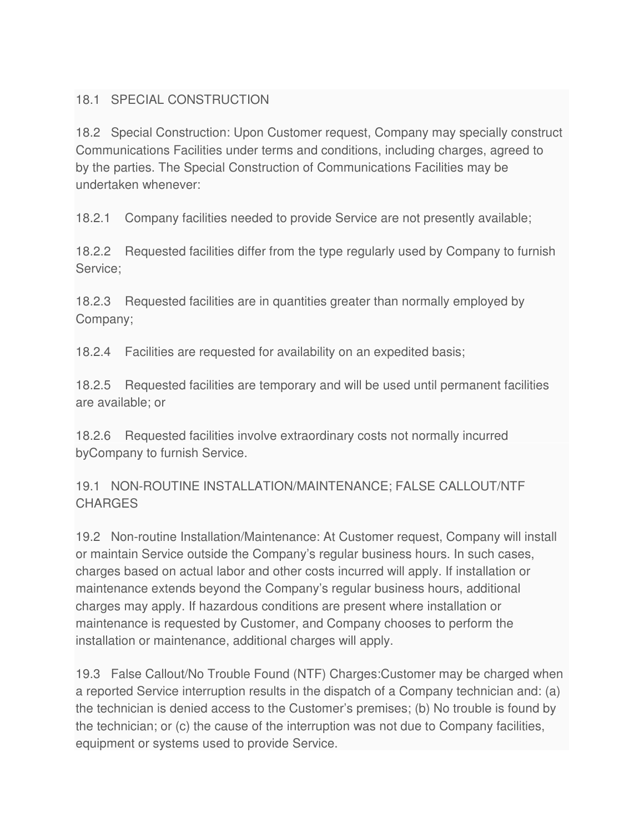### 18.1 SPECIAL CONSTRUCTION

18.2 Special Construction: Upon Customer request, Company may specially construct Communications Facilities under terms and conditions, including charges, agreed to by the parties. The Special Construction of Communications Facilities may be undertaken whenever:

18.2.1 Company facilities needed to provide Service are not presently available;

18.2.2 Requested facilities differ from the type regularly used by Company to furnish Service;

18.2.3 Requested facilities are in quantities greater than normally employed by Company;

18.2.4 Facilities are requested for availability on an expedited basis;

18.2.5 Requested facilities are temporary and will be used until permanent facilities are available; or

18.2.6 Requested facilities involve extraordinary costs not normally incurred byCompany to furnish Service.

19.1 NON-ROUTINE INSTALLATION/MAINTENANCE; FALSE CALLOUT/NTF **CHARGES** 

19.2 Non-routine Installation/Maintenance: At Customer request, Company will install or maintain Service outside the Company's regular business hours. In such cases, charges based on actual labor and other costs incurred will apply. If installation or maintenance extends beyond the Company's regular business hours, additional charges may apply. If hazardous conditions are present where installation or maintenance is requested by Customer, and Company chooses to perform the installation or maintenance, additional charges will apply.

19.3 False Callout/No Trouble Found (NTF) Charges:Customer may be charged when a reported Service interruption results in the dispatch of a Company technician and: (a) the technician is denied access to the Customer's premises; (b) No trouble is found by the technician; or (c) the cause of the interruption was not due to Company facilities, equipment or systems used to provide Service.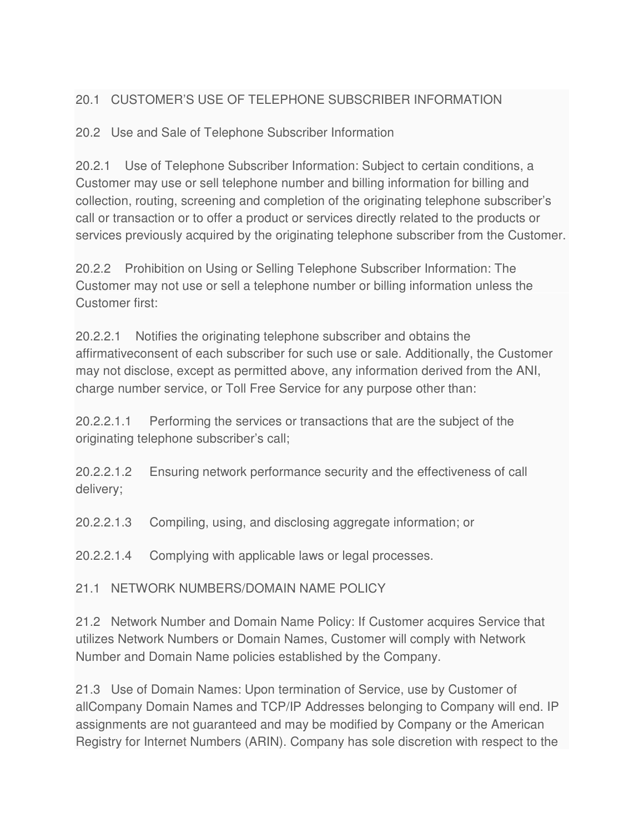# 20.1 CUSTOMER'S USE OF TELEPHONE SUBSCRIBER INFORMATION

20.2 Use and Sale of Telephone Subscriber Information

20.2.1 Use of Telephone Subscriber Information: Subject to certain conditions, a Customer may use or sell telephone number and billing information for billing and collection, routing, screening and completion of the originating telephone subscriber's call or transaction or to offer a product or services directly related to the products or services previously acquired by the originating telephone subscriber from the Customer.

20.2.2 Prohibition on Using or Selling Telephone Subscriber Information: The Customer may not use or sell a telephone number or billing information unless the Customer first:

20.2.2.1 Notifies the originating telephone subscriber and obtains the affirmativeconsent of each subscriber for such use or sale. Additionally, the Customer may not disclose, except as permitted above, any information derived from the ANI, charge number service, or Toll Free Service for any purpose other than:

20.2.2.1.1 Performing the services or transactions that are the subject of the originating telephone subscriber's call;

20.2.2.1.2 Ensuring network performance security and the effectiveness of call delivery;

20.2.2.1.3 Compiling, using, and disclosing aggregate information; or

20.2.2.1.4 Complying with applicable laws or legal processes.

21.1 NETWORK NUMBERS/DOMAIN NAME POLICY

21.2 Network Number and Domain Name Policy: If Customer acquires Service that utilizes Network Numbers or Domain Names, Customer will comply with Network Number and Domain Name policies established by the Company.

21.3 Use of Domain Names: Upon termination of Service, use by Customer of allCompany Domain Names and TCP/IP Addresses belonging to Company will end. IP assignments are not guaranteed and may be modified by Company or the American Registry for Internet Numbers (ARIN). Company has sole discretion with respect to the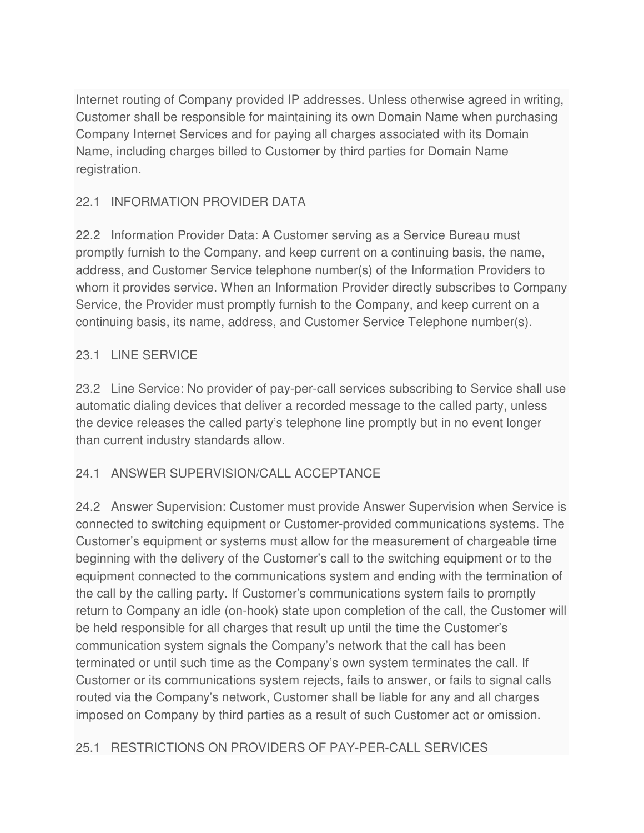Internet routing of Company provided IP addresses. Unless otherwise agreed in writing, Customer shall be responsible for maintaining its own Domain Name when purchasing Company Internet Services and for paying all charges associated with its Domain Name, including charges billed to Customer by third parties for Domain Name registration.

### 22.1 INFORMATION PROVIDER DATA

22.2 Information Provider Data: A Customer serving as a Service Bureau must promptly furnish to the Company, and keep current on a continuing basis, the name, address, and Customer Service telephone number(s) of the Information Providers to whom it provides service. When an Information Provider directly subscribes to Company Service, the Provider must promptly furnish to the Company, and keep current on a continuing basis, its name, address, and Customer Service Telephone number(s).

#### 23.1 LINE SERVICE

23.2 Line Service: No provider of pay-per-call services subscribing to Service shall use automatic dialing devices that deliver a recorded message to the called party, unless the device releases the called party's telephone line promptly but in no event longer than current industry standards allow.

### 24.1 ANSWER SUPERVISION/CALL ACCEPTANCE

24.2 Answer Supervision: Customer must provide Answer Supervision when Service is connected to switching equipment or Customer-provided communications systems. The Customer's equipment or systems must allow for the measurement of chargeable time beginning with the delivery of the Customer's call to the switching equipment or to the equipment connected to the communications system and ending with the termination of the call by the calling party. If Customer's communications system fails to promptly return to Company an idle (on-hook) state upon completion of the call, the Customer will be held responsible for all charges that result up until the time the Customer's communication system signals the Company's network that the call has been terminated or until such time as the Company's own system terminates the call. If Customer or its communications system rejects, fails to answer, or fails to signal calls routed via the Company's network, Customer shall be liable for any and all charges imposed on Company by third parties as a result of such Customer act or omission.

### 25.1 RESTRICTIONS ON PROVIDERS OF PAY-PER-CALL SERVICES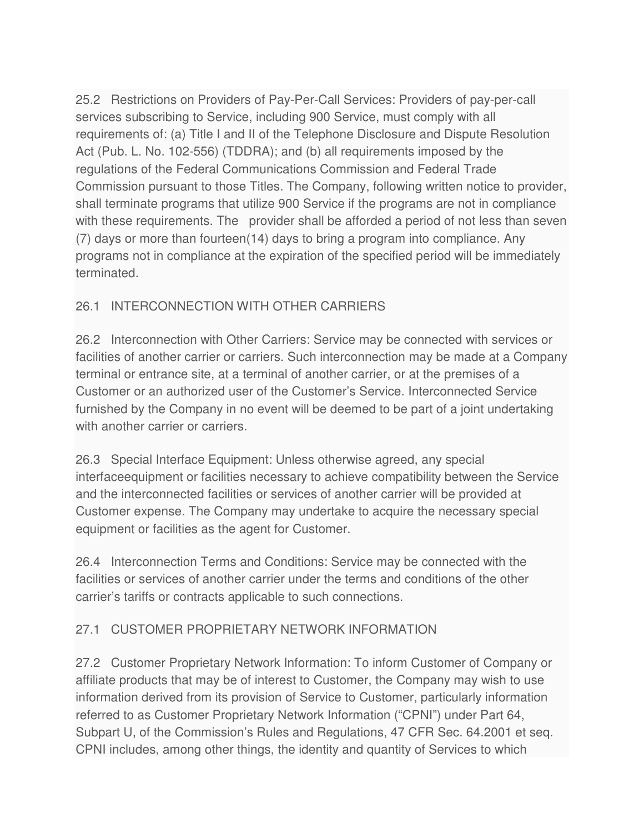25.2 Restrictions on Providers of Pay-Per-Call Services: Providers of pay-per-call services subscribing to Service, including 900 Service, must comply with all requirements of: (a) Title I and II of the Telephone Disclosure and Dispute Resolution Act (Pub. L. No. 102-556) (TDDRA); and (b) all requirements imposed by the regulations of the Federal Communications Commission and Federal Trade Commission pursuant to those Titles. The Company, following written notice to provider, shall terminate programs that utilize 900 Service if the programs are not in compliance with these requirements. The provider shall be afforded a period of not less than seven (7) days or more than fourteen(14) days to bring a program into compliance. Any programs not in compliance at the expiration of the specified period will be immediately terminated.

# 26.1 INTERCONNECTION WITH OTHER CARRIERS

26.2 Interconnection with Other Carriers: Service may be connected with services or facilities of another carrier or carriers. Such interconnection may be made at a Company terminal or entrance site, at a terminal of another carrier, or at the premises of a Customer or an authorized user of the Customer's Service. Interconnected Service furnished by the Company in no event will be deemed to be part of a joint undertaking with another carrier or carriers.

26.3 Special Interface Equipment: Unless otherwise agreed, any special interfaceequipment or facilities necessary to achieve compatibility between the Service and the interconnected facilities or services of another carrier will be provided at Customer expense. The Company may undertake to acquire the necessary special equipment or facilities as the agent for Customer.

26.4 Interconnection Terms and Conditions: Service may be connected with the facilities or services of another carrier under the terms and conditions of the other carrier's tariffs or contracts applicable to such connections.

# 27.1 CUSTOMER PROPRIETARY NETWORK INFORMATION

27.2 Customer Proprietary Network Information: To inform Customer of Company or affiliate products that may be of interest to Customer, the Company may wish to use information derived from its provision of Service to Customer, particularly information referred to as Customer Proprietary Network Information ("CPNI") under Part 64, Subpart U, of the Commission's Rules and Regulations, 47 CFR Sec. 64.2001 et seq. CPNI includes, among other things, the identity and quantity of Services to which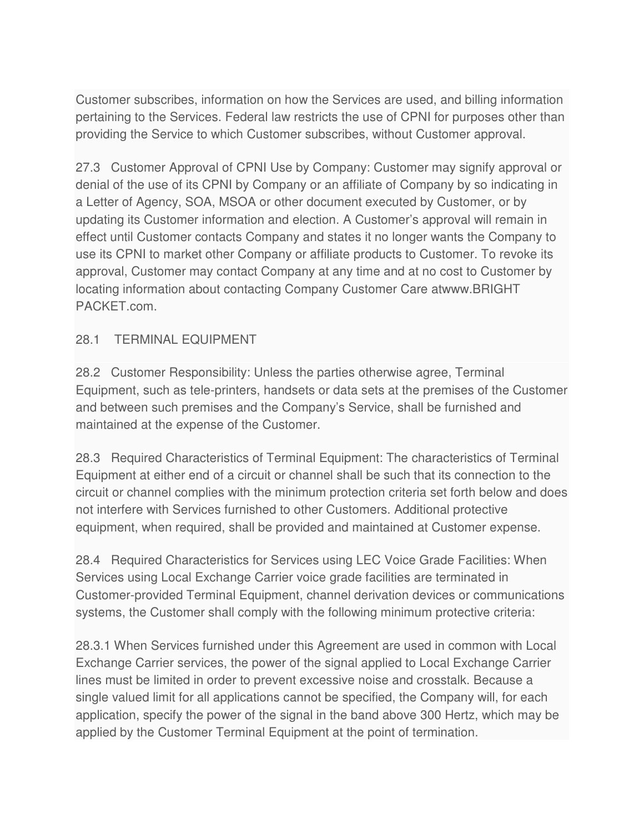Customer subscribes, information on how the Services are used, and billing information pertaining to the Services. Federal law restricts the use of CPNI for purposes other than providing the Service to which Customer subscribes, without Customer approval.

27.3 Customer Approval of CPNI Use by Company: Customer may signify approval or denial of the use of its CPNI by Company or an affiliate of Company by so indicating in a Letter of Agency, SOA, MSOA or other document executed by Customer, or by updating its Customer information and election. A Customer's approval will remain in effect until Customer contacts Company and states it no longer wants the Company to use its CPNI to market other Company or affiliate products to Customer. To revoke its approval, Customer may contact Company at any time and at no cost to Customer by locating information about contacting Company Customer Care atwww.BRIGHT PACKET.com.

### 28.1 TERMINAL EQUIPMENT

28.2 Customer Responsibility: Unless the parties otherwise agree, Terminal Equipment, such as tele-printers, handsets or data sets at the premises of the Customer and between such premises and the Company's Service, shall be furnished and maintained at the expense of the Customer.

28.3 Required Characteristics of Terminal Equipment: The characteristics of Terminal Equipment at either end of a circuit or channel shall be such that its connection to the circuit or channel complies with the minimum protection criteria set forth below and does not interfere with Services furnished to other Customers. Additional protective equipment, when required, shall be provided and maintained at Customer expense.

28.4 Required Characteristics for Services using LEC Voice Grade Facilities: When Services using Local Exchange Carrier voice grade facilities are terminated in Customer-provided Terminal Equipment, channel derivation devices or communications systems, the Customer shall comply with the following minimum protective criteria:

28.3.1 When Services furnished under this Agreement are used in common with Local Exchange Carrier services, the power of the signal applied to Local Exchange Carrier lines must be limited in order to prevent excessive noise and crosstalk. Because a single valued limit for all applications cannot be specified, the Company will, for each application, specify the power of the signal in the band above 300 Hertz, which may be applied by the Customer Terminal Equipment at the point of termination.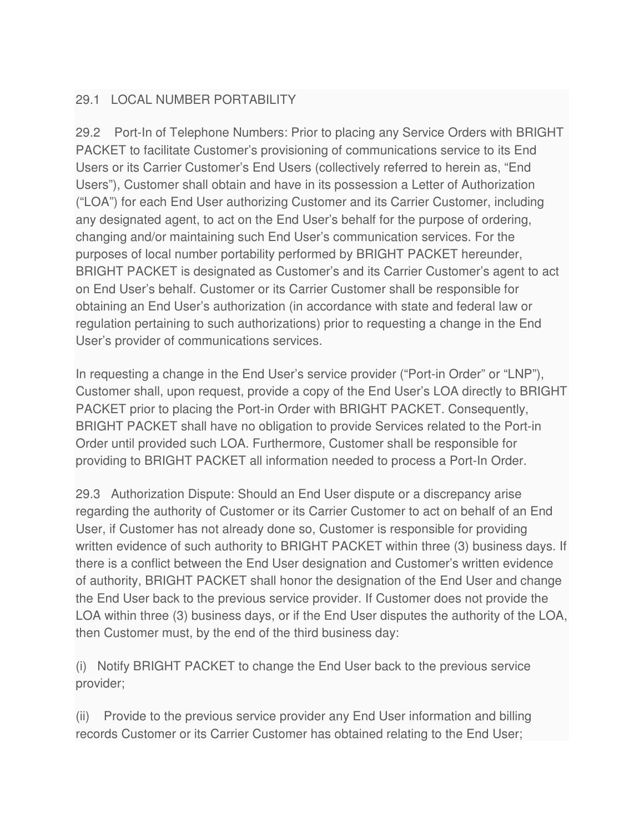# 29.1 LOCAL NUMBER PORTABILITY

29.2 Port-In of Telephone Numbers: Prior to placing any Service Orders with BRIGHT PACKET to facilitate Customer's provisioning of communications service to its End Users or its Carrier Customer's End Users (collectively referred to herein as, "End Users"), Customer shall obtain and have in its possession a Letter of Authorization ("LOA") for each End User authorizing Customer and its Carrier Customer, including any designated agent, to act on the End User's behalf for the purpose of ordering, changing and/or maintaining such End User's communication services. For the purposes of local number portability performed by BRIGHT PACKET hereunder, BRIGHT PACKET is designated as Customer's and its Carrier Customer's agent to act on End User's behalf. Customer or its Carrier Customer shall be responsible for obtaining an End User's authorization (in accordance with state and federal law or regulation pertaining to such authorizations) prior to requesting a change in the End User's provider of communications services.

In requesting a change in the End User's service provider ("Port-in Order" or "LNP"), Customer shall, upon request, provide a copy of the End User's LOA directly to BRIGHT PACKET prior to placing the Port-in Order with BRIGHT PACKET. Consequently, BRIGHT PACKET shall have no obligation to provide Services related to the Port-in Order until provided such LOA. Furthermore, Customer shall be responsible for providing to BRIGHT PACKET all information needed to process a Port-In Order.

29.3 Authorization Dispute: Should an End User dispute or a discrepancy arise regarding the authority of Customer or its Carrier Customer to act on behalf of an End User, if Customer has not already done so, Customer is responsible for providing written evidence of such authority to BRIGHT PACKET within three (3) business days. If there is a conflict between the End User designation and Customer's written evidence of authority, BRIGHT PACKET shall honor the designation of the End User and change the End User back to the previous service provider. If Customer does not provide the LOA within three (3) business days, or if the End User disputes the authority of the LOA, then Customer must, by the end of the third business day:

(i) Notify BRIGHT PACKET to change the End User back to the previous service provider;

(ii) Provide to the previous service provider any End User information and billing records Customer or its Carrier Customer has obtained relating to the End User;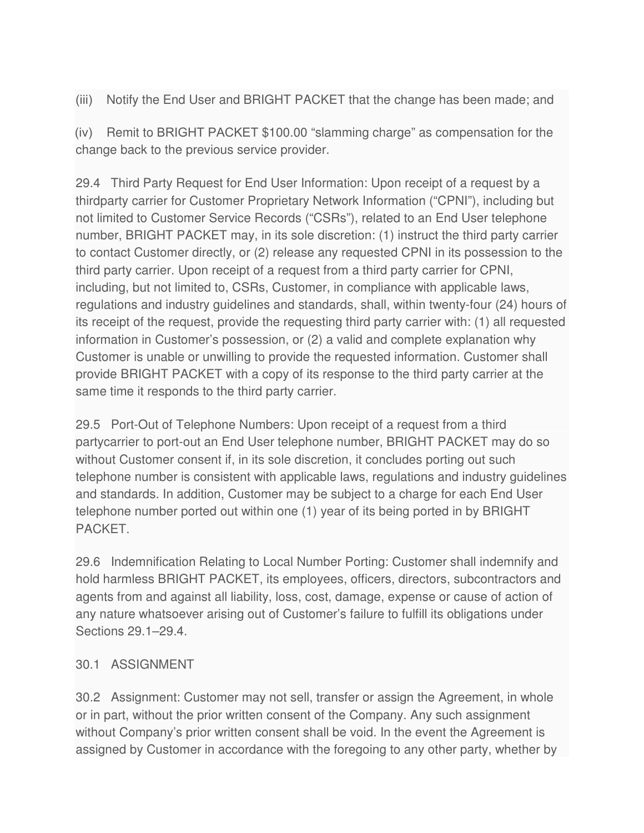(iii) Notify the End User and BRIGHT PACKET that the change has been made; and

(iv) Remit to BRIGHT PACKET \$100.00 "slamming charge" as compensation for the change back to the previous service provider.

29.4 Third Party Request for End User Information: Upon receipt of a request by a thirdparty carrier for Customer Proprietary Network Information ("CPNI"), including but not limited to Customer Service Records ("CSRs"), related to an End User telephone number, BRIGHT PACKET may, in its sole discretion: (1) instruct the third party carrier to contact Customer directly, or (2) release any requested CPNI in its possession to the third party carrier. Upon receipt of a request from a third party carrier for CPNI, including, but not limited to, CSRs, Customer, in compliance with applicable laws, regulations and industry guidelines and standards, shall, within twenty-four (24) hours of its receipt of the request, provide the requesting third party carrier with: (1) all requested information in Customer's possession, or (2) a valid and complete explanation why Customer is unable or unwilling to provide the requested information. Customer shall provide BRIGHT PACKET with a copy of its response to the third party carrier at the same time it responds to the third party carrier.

29.5 Port-Out of Telephone Numbers: Upon receipt of a request from a third partycarrier to port-out an End User telephone number, BRIGHT PACKET may do so without Customer consent if, in its sole discretion, it concludes porting out such telephone number is consistent with applicable laws, regulations and industry guidelines and standards. In addition, Customer may be subject to a charge for each End User telephone number ported out within one (1) year of its being ported in by BRIGHT PACKET.

29.6 Indemnification Relating to Local Number Porting: Customer shall indemnify and hold harmless BRIGHT PACKET, its employees, officers, directors, subcontractors and agents from and against all liability, loss, cost, damage, expense or cause of action of any nature whatsoever arising out of Customer's failure to fulfill its obligations under Sections 29.1–29.4.

### 30.1 ASSIGNMENT

30.2 Assignment: Customer may not sell, transfer or assign the Agreement, in whole or in part, without the prior written consent of the Company. Any such assignment without Company's prior written consent shall be void. In the event the Agreement is assigned by Customer in accordance with the foregoing to any other party, whether by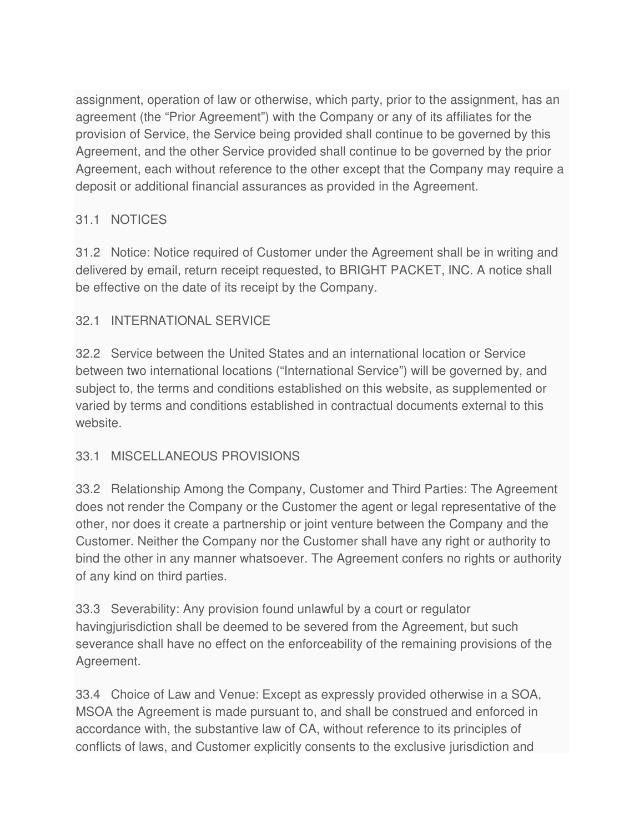assignment, operation of law or otherwise, which party, prior to the assignment, has an agreement (the "Prior Agreement") with the Company or any of its affiliates for the provision of Service, the Service being provided shall continue to be governed by this Agreement, and the other Service provided shall continue to be governed by the prior Agreement, each without reference to the other except that the Company may require a deposit or additional financial assurances as provided in the Agreement.

# 31.1 NOTICES

31.2 Notice: Notice required of Customer under the Agreement shall be in writing and delivered by email, return receipt requested, to BRIGHT PACKET, INC. A notice shall be effective on the date of its receipt by the Company.

# 32.1 INTERNATIONAL SERVICE

32.2 Service between the United States and an international location or Service between two international locations ("International Service") will be governed by, and subject to, the terms and conditions established on this website, as supplemented or varied by terms and conditions established in contractual documents external to this website.

### 33.1 MISCELLANEOUS PROVISIONS

33.2 Relationship Among the Company, Customer and Third Parties: The Agreement does not render the Company or the Customer the agent or legal representative of the other, nor does it create a partnership or joint venture between the Company and the Customer. Neither the Company nor the Customer shall have any right or authority to bind the other in any manner whatsoever. The Agreement confers no rights or authority of any kind on third parties.

33.3 Severability: Any provision found unlawful by a court or regulator havingjurisdiction shall be deemed to be severed from the Agreement, but such severance shall have no effect on the enforceability of the remaining provisions of the Agreement.

33.4 Choice of Law and Venue: Except as expressly provided otherwise in a SOA, MSOA the Agreement is made pursuant to, and shall be construed and enforced in accordance with, the substantive law of CA, without reference to its principles of conflicts of laws, and Customer explicitly consents to the exclusive jurisdiction and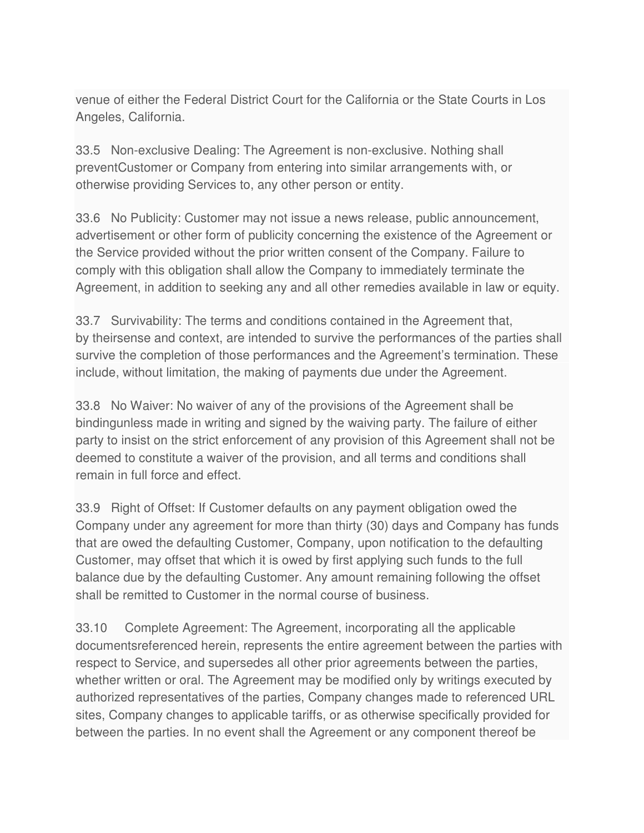venue of either the Federal District Court for the California or the State Courts in Los Angeles, California.

33.5 Non-exclusive Dealing: The Agreement is non-exclusive. Nothing shall preventCustomer or Company from entering into similar arrangements with, or otherwise providing Services to, any other person or entity.

33.6 No Publicity: Customer may not issue a news release, public announcement, advertisement or other form of publicity concerning the existence of the Agreement or the Service provided without the prior written consent of the Company. Failure to comply with this obligation shall allow the Company to immediately terminate the Agreement, in addition to seeking any and all other remedies available in law or equity.

33.7 Survivability: The terms and conditions contained in the Agreement that, by theirsense and context, are intended to survive the performances of the parties shall survive the completion of those performances and the Agreement's termination. These include, without limitation, the making of payments due under the Agreement.

33.8 No Waiver: No waiver of any of the provisions of the Agreement shall be bindingunless made in writing and signed by the waiving party. The failure of either party to insist on the strict enforcement of any provision of this Agreement shall not be deemed to constitute a waiver of the provision, and all terms and conditions shall remain in full force and effect.

33.9 Right of Offset: If Customer defaults on any payment obligation owed the Company under any agreement for more than thirty (30) days and Company has funds that are owed the defaulting Customer, Company, upon notification to the defaulting Customer, may offset that which it is owed by first applying such funds to the full balance due by the defaulting Customer. Any amount remaining following the offset shall be remitted to Customer in the normal course of business.

33.10 Complete Agreement: The Agreement, incorporating all the applicable documentsreferenced herein, represents the entire agreement between the parties with respect to Service, and supersedes all other prior agreements between the parties, whether written or oral. The Agreement may be modified only by writings executed by authorized representatives of the parties, Company changes made to referenced URL sites, Company changes to applicable tariffs, or as otherwise specifically provided for between the parties. In no event shall the Agreement or any component thereof be